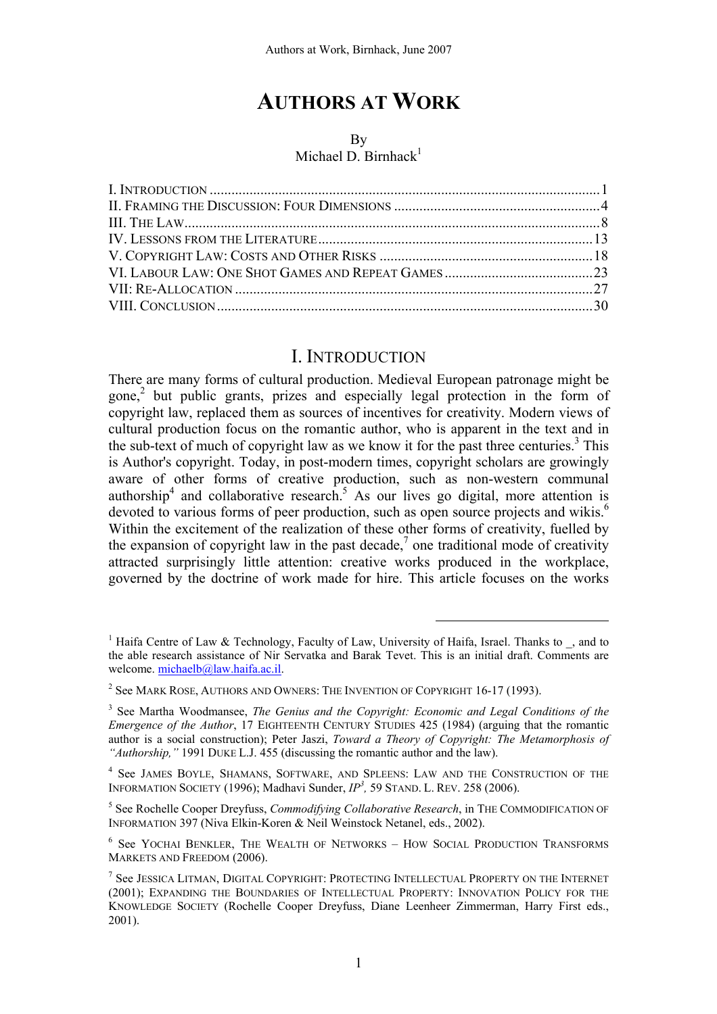# **AUTHORS AT WORK**

#### By

#### Michael D. Birnhack $1$

### I. INTRODUCTION

There are many forms of cultural production. Medieval European patronage might be gone,<sup>2</sup> but public grants, prizes and especially legal protection in the form of copyright law, replaced them as sources of incentives for creativity. Modern views of cultural production focus on the romantic author, who is apparent in the text and in the sub-text of much of copyright law as we know it for the past three centuries.<sup>3</sup> This is Author's copyright. Today, in post-modern times, copyright scholars are growingly aware of other forms of creative production, such as non-western communal authorship<sup>4</sup> and collaborative research.<sup>5</sup> As our lives go digital, more attention is devoted to various forms of peer production, such as open source projects and wikis.<sup>6</sup> Within the excitement of the realization of these other forms of creativity, fuelled by the expansion of copyright law in the past decade,<sup>7</sup> one traditional mode of creativity attracted surprisingly little attention: creative works produced in the workplace, governed by the doctrine of work made for hire. This article focuses on the works

<sup>&</sup>lt;sup>1</sup> Haifa Centre of Law & Technology, Faculty of Law, University of Haifa, Israel. Thanks to  $\overline{\phantom{a}}$ , and to the able research assistance of Nir Servatka and Barak Tevet. This is an initial draft. Comments are welcome. michaelb@law.haifa.ac.il.

 $^2$  See Mark Rose, Authors and Owners: The Invention of Copyright 16-17 (1993).

<sup>&</sup>lt;sup>3</sup> See Martha Woodmansee, *The Genius and the Copyright: Economic and Legal Conditions of the Emergence of the Author*, 17 EIGHTEENTH CENTURY STUDIES 425 (1984) (arguing that the romantic author is a social construction); Peter Jaszi, *Toward a Theory of Copyright: The Metamorphosis of "Authorship,"* 1991 DUKE L.J. 455 (discussing the romantic author and the law).

<sup>&</sup>lt;sup>4</sup> See JAMES BOYLE, SHAMANS, SOFTWARE, AND SPLEENS: LAW AND THE CONSTRUCTION OF THE INFORMATION SOCIETY (1996); Madhavi Sunder, *IP3 ,* 59 STAND. L. REV. 258 (2006).

<sup>5</sup> See Rochelle Cooper Dreyfuss, *Commodifying Collaborative Research*, in THE COMMODIFICATION OF INFORMATION 397 (Niva Elkin-Koren & Neil Weinstock Netanel, eds., 2002).

<sup>6</sup> See YOCHAI BENKLER, THE WEALTH OF NETWORKS – HOW SOCIAL PRODUCTION TRANSFORMS MARKETS AND FREEDOM (2006).

 $^7$  See Jessica Litman, Digital Copyright: Protecting Intellectual Property on the Internet (2001); EXPANDING THE BOUNDARIES OF INTELLECTUAL PROPERTY: INNOVATION POLICY FOR THE KNOWLEDGE SOCIETY (Rochelle Cooper Dreyfuss, Diane Leenheer Zimmerman, Harry First eds., 2001).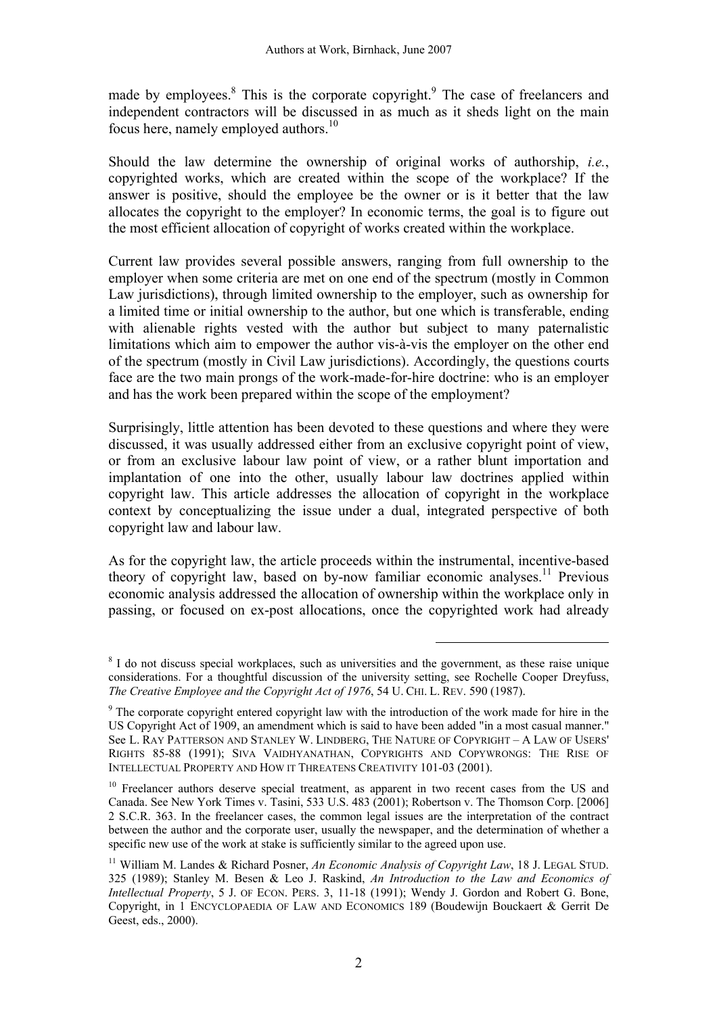made by employees. $8$  This is the corporate copyright. The case of freelancers and independent contractors will be discussed in as much as it sheds light on the main focus here, namely employed authors.<sup>10</sup>

Should the law determine the ownership of original works of authorship, *i.e.*, copyrighted works, which are created within the scope of the workplace? If the answer is positive, should the employee be the owner or is it better that the law allocates the copyright to the employer? In economic terms, the goal is to figure out the most efficient allocation of copyright of works created within the workplace.

Current law provides several possible answers, ranging from full ownership to the employer when some criteria are met on one end of the spectrum (mostly in Common Law jurisdictions), through limited ownership to the employer, such as ownership for a limited time or initial ownership to the author, but one which is transferable, ending with alienable rights vested with the author but subject to many paternalistic limitations which aim to empower the author vis-à-vis the employer on the other end of the spectrum (mostly in Civil Law jurisdictions). Accordingly, the questions courts face are the two main prongs of the work-made-for-hire doctrine: who is an employer and has the work been prepared within the scope of the employment?

Surprisingly, little attention has been devoted to these questions and where they were discussed, it was usually addressed either from an exclusive copyright point of view, or from an exclusive labour law point of view, or a rather blunt importation and implantation of one into the other, usually labour law doctrines applied within copyright law. This article addresses the allocation of copyright in the workplace context by conceptualizing the issue under a dual, integrated perspective of both copyright law and labour law.

As for the copyright law, the article proceeds within the instrumental, incentive-based theory of copyright law, based on by-now familiar economic analyses.<sup>11</sup> Previous economic analysis addressed the allocation of ownership within the workplace only in passing, or focused on ex-post allocations, once the copyrighted work had already

<sup>&</sup>lt;sup>8</sup> I do not discuss special workplaces, such as universities and the government, as these raise unique considerations. For a thoughtful discussion of the university setting, see Rochelle Cooper Dreyfuss, *The Creative Employee and the Copyright Act of 1976*, 54 U. CHI. L. REV. 590 (1987).

<sup>&</sup>lt;sup>9</sup> The corporate copyright entered copyright law with the introduction of the work made for hire in the US Copyright Act of 1909, an amendment which is said to have been added "in a most casual manner." See L. RAY PATTERSON AND STANLEY W. LINDBERG, THE NATURE OF COPYRIGHT – A LAW OF USERS' RIGHTS 85-88 (1991); SIVA VAIDHYANATHAN, COPYRIGHTS AND COPYWRONGS: THE RISE OF INTELLECTUAL PROPERTY AND HOW IT THREATENS CREATIVITY 101-03 (2001).

<sup>&</sup>lt;sup>10</sup> Freelancer authors deserve special treatment, as apparent in two recent cases from the US and Canada. See New York Times v. Tasini, 533 U.S. 483 (2001); Robertson v. The Thomson Corp. [2006] 2 S.C.R. 363. In the freelancer cases, the common legal issues are the interpretation of the contract between the author and the corporate user, usually the newspaper, and the determination of whether a specific new use of the work at stake is sufficiently similar to the agreed upon use.

<sup>11</sup> William M. Landes & Richard Posner, *An Economic Analysis of Copyright Law*, 18 J. LEGAL STUD. 325 (1989); Stanley M. Besen & Leo J. Raskind, *An Introduction to the Law and Economics of Intellectual Property*, 5 J. OF ECON. PERS. 3, 11-18 (1991); Wendy J. Gordon and Robert G. Bone, Copyright, in 1 ENCYCLOPAEDIA OF LAW AND ECONOMICS 189 (Boudewijn Bouckaert & Gerrit De Geest, eds., 2000).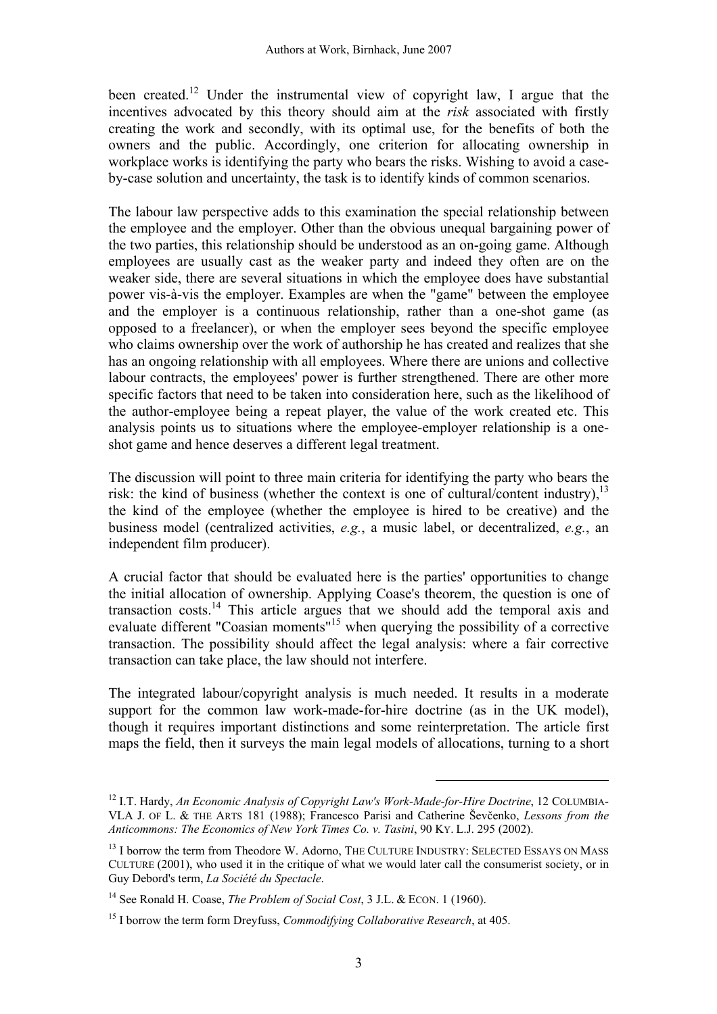been created.<sup>12</sup> Under the instrumental view of copyright law, I argue that the incentives advocated by this theory should aim at the *risk* associated with firstly creating the work and secondly, with its optimal use, for the benefits of both the owners and the public. Accordingly, one criterion for allocating ownership in workplace works is identifying the party who bears the risks. Wishing to avoid a caseby-case solution and uncertainty, the task is to identify kinds of common scenarios.

The labour law perspective adds to this examination the special relationship between the employee and the employer. Other than the obvious unequal bargaining power of the two parties, this relationship should be understood as an on-going game. Although employees are usually cast as the weaker party and indeed they often are on the weaker side, there are several situations in which the employee does have substantial power vis-à-vis the employer. Examples are when the "game" between the employee and the employer is a continuous relationship, rather than a one-shot game (as opposed to a freelancer), or when the employer sees beyond the specific employee who claims ownership over the work of authorship he has created and realizes that she has an ongoing relationship with all employees. Where there are unions and collective labour contracts, the employees' power is further strengthened. There are other more specific factors that need to be taken into consideration here, such as the likelihood of the author-employee being a repeat player, the value of the work created etc. This analysis points us to situations where the employee-employer relationship is a oneshot game and hence deserves a different legal treatment.

The discussion will point to three main criteria for identifying the party who bears the risk: the kind of business (whether the context is one of cultural/content industry),  $^{13}$ the kind of the employee (whether the employee is hired to be creative) and the business model (centralized activities, *e.g.*, a music label, or decentralized, *e.g.*, an independent film producer).

A crucial factor that should be evaluated here is the parties' opportunities to change the initial allocation of ownership. Applying Coase's theorem, the question is one of transaction costs.14 This article argues that we should add the temporal axis and evaluate different "Coasian moments"15 when querying the possibility of a corrective transaction. The possibility should affect the legal analysis: where a fair corrective transaction can take place, the law should not interfere.

The integrated labour/copyright analysis is much needed. It results in a moderate support for the common law work-made-for-hire doctrine (as in the UK model), though it requires important distinctions and some reinterpretation. The article first maps the field, then it surveys the main legal models of allocations, turning to a short

<sup>12</sup> I.T. Hardy, *An Economic Analysis of Copyright Law's Work-Made-for-Hire Doctrine*, 12 COLUMBIA-VLA J. OF L. & THE ARTS 181 (1988); Francesco Parisi and Catherine Ševčenko, *Lessons from the Anticommons: The Economics of New York Times Co. v. Tasini*, 90 KY. L.J. 295 (2002).

<sup>&</sup>lt;sup>13</sup> I borrow the term from Theodore W. Adorno, THE CULTURE INDUSTRY: SELECTED ESSAYS ON MASS CULTURE (2001), who used it in the critique of what we would later call the consumerist society, or in Guy Debord's term, *La Société du Spectacle*.

<sup>14</sup> See Ronald H. Coase, *The Problem of Social Cost*, 3 J.L. & ECON. 1 (1960).

<sup>15</sup> I borrow the term form Dreyfuss, *Commodifying Collaborative Research*, at 405.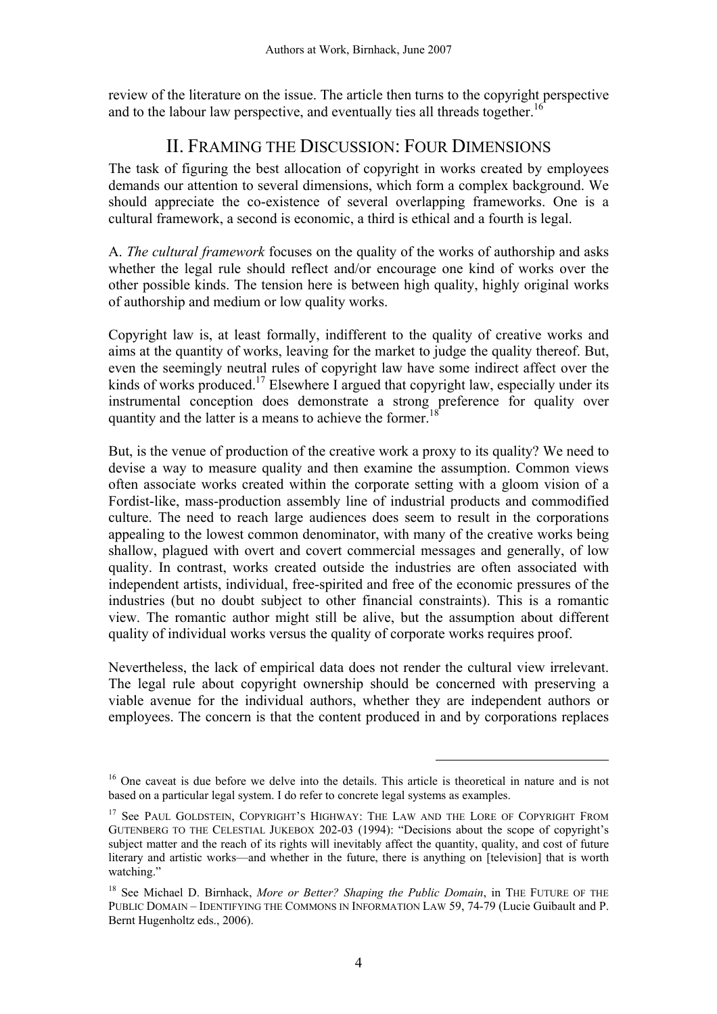review of the literature on the issue. The article then turns to the copyright perspective and to the labour law perspective, and eventually ties all threads together.<sup>16</sup>

# II. FRAMING THE DISCUSSION: FOUR DIMENSIONS

The task of figuring the best allocation of copyright in works created by employees demands our attention to several dimensions, which form a complex background. We should appreciate the co-existence of several overlapping frameworks. One is a cultural framework, a second is economic, a third is ethical and a fourth is legal.

A. *The cultural framework* focuses on the quality of the works of authorship and asks whether the legal rule should reflect and/or encourage one kind of works over the other possible kinds. The tension here is between high quality, highly original works of authorship and medium or low quality works.

Copyright law is, at least formally, indifferent to the quality of creative works and aims at the quantity of works, leaving for the market to judge the quality thereof. But, even the seemingly neutral rules of copyright law have some indirect affect over the kinds of works produced.<sup>17</sup> Elsewhere I argued that copyright law, especially under its instrumental conception does demonstrate a strong preference for quality over quantity and the latter is a means to achieve the former.<sup>1</sup>

But, is the venue of production of the creative work a proxy to its quality? We need to devise a way to measure quality and then examine the assumption. Common views often associate works created within the corporate setting with a gloom vision of a Fordist-like, mass-production assembly line of industrial products and commodified culture. The need to reach large audiences does seem to result in the corporations appealing to the lowest common denominator, with many of the creative works being shallow, plagued with overt and covert commercial messages and generally, of low quality. In contrast, works created outside the industries are often associated with independent artists, individual, free-spirited and free of the economic pressures of the industries (but no doubt subject to other financial constraints). This is a romantic view. The romantic author might still be alive, but the assumption about different quality of individual works versus the quality of corporate works requires proof.

Nevertheless, the lack of empirical data does not render the cultural view irrelevant. The legal rule about copyright ownership should be concerned with preserving a viable avenue for the individual authors, whether they are independent authors or employees. The concern is that the content produced in and by corporations replaces

<sup>&</sup>lt;sup>16</sup> One caveat is due before we delve into the details. This article is theoretical in nature and is not based on a particular legal system. I do refer to concrete legal systems as examples.

<sup>&</sup>lt;sup>17</sup> See PAUL GOLDSTEIN, COPYRIGHT'S HIGHWAY: THE LAW AND THE LORE OF COPYRIGHT FROM GUTENBERG TO THE CELESTIAL JUKEBOX 202-03 (1994): "Decisions about the scope of copyright's subject matter and the reach of its rights will inevitably affect the quantity, quality, and cost of future literary and artistic works—and whether in the future, there is anything on [television] that is worth watching."

<sup>18</sup> See Michael D. Birnhack, *More or Better? Shaping the Public Domain*, in THE FUTURE OF THE PUBLIC DOMAIN – IDENTIFYING THE COMMONS IN INFORMATION LAW 59, 74-79 (Lucie Guibault and P. Bernt Hugenholtz eds., 2006).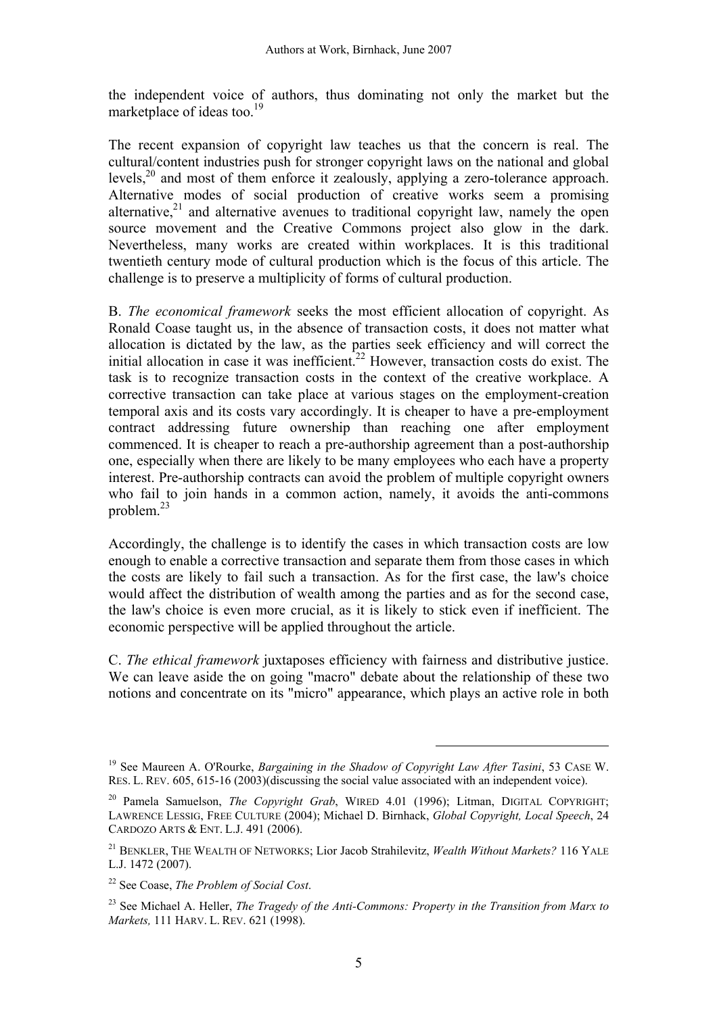the independent voice of authors, thus dominating not only the market but the marketplace of ideas too. $^{19}$ 

The recent expansion of copyright law teaches us that the concern is real. The cultural/content industries push for stronger copyright laws on the national and global levels,<sup>20</sup> and most of them enforce it zealously, applying a zero-tolerance approach. Alternative modes of social production of creative works seem a promising alternative, $2<sup>1</sup>$  and alternative avenues to traditional copyright law, namely the open source movement and the Creative Commons project also glow in the dark. Nevertheless, many works are created within workplaces. It is this traditional twentieth century mode of cultural production which is the focus of this article. The challenge is to preserve a multiplicity of forms of cultural production.

B. *The economical framework* seeks the most efficient allocation of copyright. As Ronald Coase taught us, in the absence of transaction costs, it does not matter what allocation is dictated by the law, as the parties seek efficiency and will correct the initial allocation in case it was inefficient.<sup>22</sup> However, transaction costs do exist. The task is to recognize transaction costs in the context of the creative workplace. A corrective transaction can take place at various stages on the employment-creation temporal axis and its costs vary accordingly. It is cheaper to have a pre-employment contract addressing future ownership than reaching one after employment commenced. It is cheaper to reach a pre-authorship agreement than a post-authorship one, especially when there are likely to be many employees who each have a property interest. Pre-authorship contracts can avoid the problem of multiple copyright owners who fail to join hands in a common action, namely, it avoids the anti-commons problem.23

Accordingly, the challenge is to identify the cases in which transaction costs are low enough to enable a corrective transaction and separate them from those cases in which the costs are likely to fail such a transaction. As for the first case, the law's choice would affect the distribution of wealth among the parties and as for the second case, the law's choice is even more crucial, as it is likely to stick even if inefficient. The economic perspective will be applied throughout the article.

C. *The ethical framework* juxtaposes efficiency with fairness and distributive justice. We can leave aside the on going "macro" debate about the relationship of these two notions and concentrate on its "micro" appearance, which plays an active role in both

<sup>19</sup> See Maureen A. O'Rourke, *Bargaining in the Shadow of Copyright Law After Tasini*, 53 CASE W. RES. L. REV. 605, 615-16 (2003)(discussing the social value associated with an independent voice).

<sup>20</sup> Pamela Samuelson, *The Copyright Grab*, WIRED 4.01 (1996); Litman, DIGITAL COPYRIGHT; LAWRENCE LESSIG, FREE CULTURE (2004); Michael D. Birnhack, *Global Copyright, Local Speech*, 24 CARDOZO ARTS & ENT. L.J. 491 (2006).

<sup>21</sup> BENKLER, THE WEALTH OF NETWORKS; Lior Jacob Strahilevitz, *Wealth Without Markets?* 116 YALE L.J. 1472 (2007).

<sup>22</sup> See Coase, *The Problem of Social Cost*.

<sup>23</sup> See Michael A. Heller, *The Tragedy of the Anti-Commons: Property in the Transition from Marx to Markets,* 111 HARV. L. REV. 621 (1998).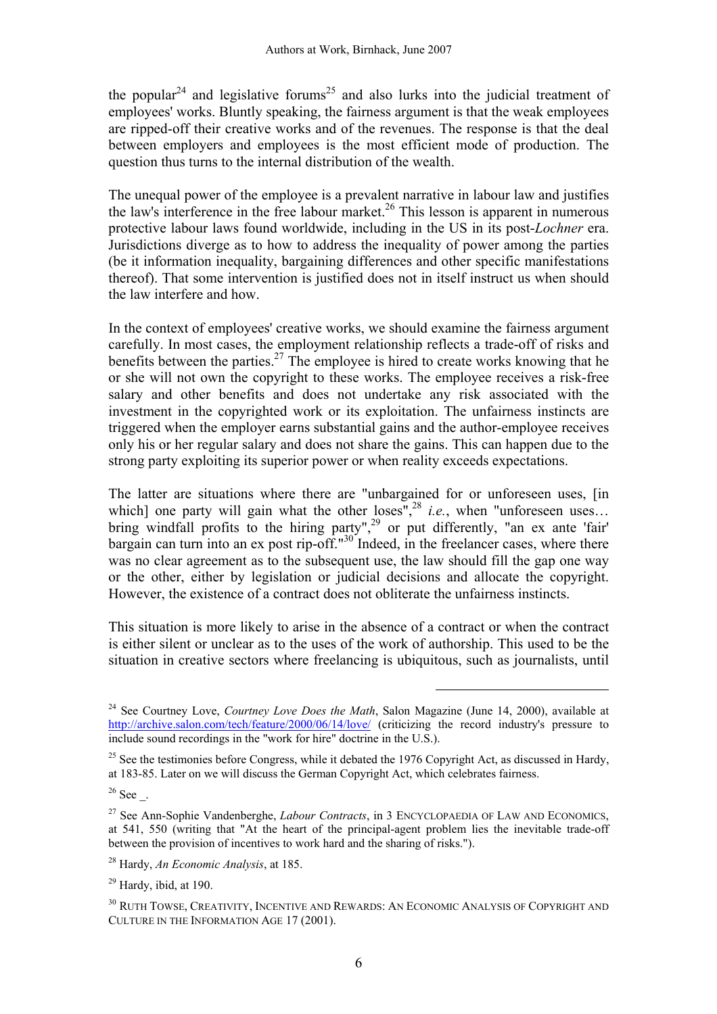the popular<sup>24</sup> and legislative forums<sup>25</sup> and also lurks into the judicial treatment of employees' works. Bluntly speaking, the fairness argument is that the weak employees are ripped-off their creative works and of the revenues. The response is that the deal between employers and employees is the most efficient mode of production. The question thus turns to the internal distribution of the wealth.

The unequal power of the employee is a prevalent narrative in labour law and justifies the law's interference in the free labour market.<sup>26</sup> This lesson is apparent in numerous protective labour laws found worldwide, including in the US in its post-*Lochner* era. Jurisdictions diverge as to how to address the inequality of power among the parties (be it information inequality, bargaining differences and other specific manifestations thereof). That some intervention is justified does not in itself instruct us when should the law interfere and how.

In the context of employees' creative works, we should examine the fairness argument carefully. In most cases, the employment relationship reflects a trade-off of risks and benefits between the parties.<sup>27</sup> The employee is hired to create works knowing that he or she will not own the copyright to these works. The employee receives a risk-free salary and other benefits and does not undertake any risk associated with the investment in the copyrighted work or its exploitation. The unfairness instincts are triggered when the employer earns substantial gains and the author-employee receives only his or her regular salary and does not share the gains. This can happen due to the strong party exploiting its superior power or when reality exceeds expectations.

The latter are situations where there are "unbargained for or unforeseen uses, [in which] one party will gain what the other  $loss''^{28}$  *i.e.*, when "unforeseen uses... bring windfall profits to the hiring party",<sup>29</sup> or put differently, "an ex ante 'fair' bargain can turn into an ex post rip-off." $30$  Indeed, in the freelancer cases, where there was no clear agreement as to the subsequent use, the law should fill the gap one way or the other, either by legislation or judicial decisions and allocate the copyright. However, the existence of a contract does not obliterate the unfairness instincts.

This situation is more likely to arise in the absence of a contract or when the contract is either silent or unclear as to the uses of the work of authorship. This used to be the situation in creative sectors where freelancing is ubiquitous, such as journalists, until

 $\overline{a}$ 

 $26$  See  $\phantom{1}$ .

<sup>&</sup>lt;sup>24</sup> See Courtney Love, *Courtney Love Does the Math*, Salon Magazine (June 14, 2000), available at http://archive.salon.com/tech/feature/2000/06/14/love/ (criticizing the record industry's pressure to include sound recordings in the "work for hire" doctrine in the U.S.).

<sup>&</sup>lt;sup>25</sup> See the testimonies before Congress, while it debated the 1976 Copyright Act, as discussed in Hardy, at 183-85. Later on we will discuss the German Copyright Act, which celebrates fairness.

<sup>27</sup> See Ann-Sophie Vandenberghe, *Labour Contracts*, in 3 ENCYCLOPAEDIA OF LAW AND ECONOMICS, at 541, 550 (writing that "At the heart of the principal-agent problem lies the inevitable trade-off between the provision of incentives to work hard and the sharing of risks.").

<sup>28</sup> Hardy, *An Economic Analysis*, at 185.

 $29$  Hardy, ibid, at 190.

<sup>30</sup> RUTH TOWSE, CREATIVITY, INCENTIVE AND REWARDS: AN ECONOMIC ANALYSIS OF COPYRIGHT AND CULTURE IN THE INFORMATION AGE 17 (2001).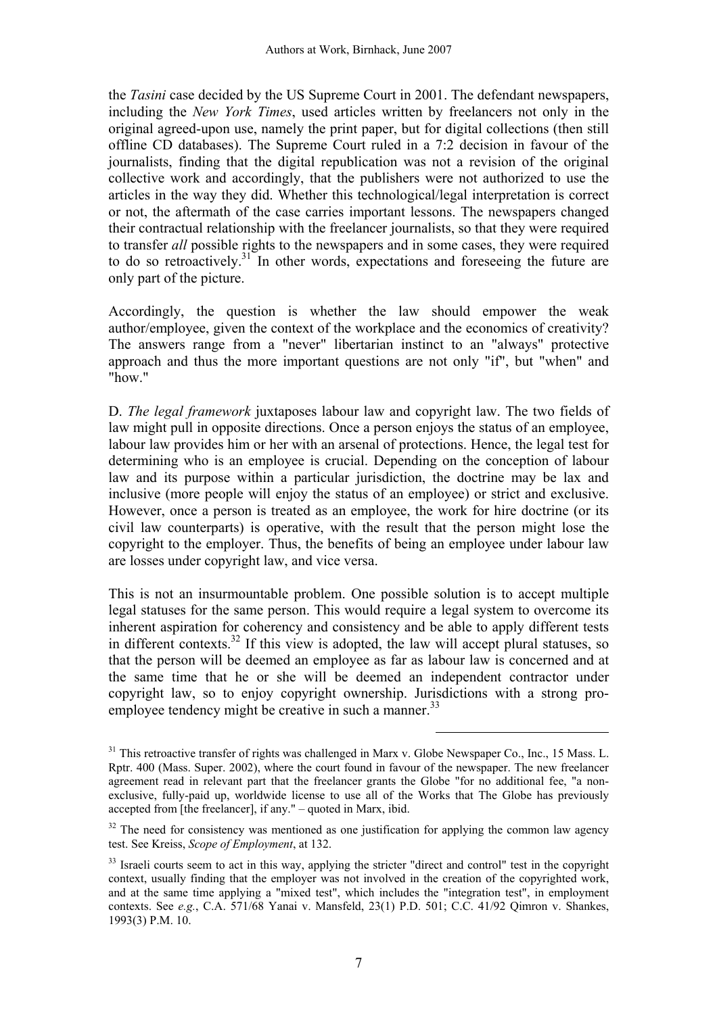the *Tasini* case decided by the US Supreme Court in 2001. The defendant newspapers, including the *New York Times*, used articles written by freelancers not only in the original agreed-upon use, namely the print paper, but for digital collections (then still offline CD databases). The Supreme Court ruled in a 7:2 decision in favour of the journalists, finding that the digital republication was not a revision of the original collective work and accordingly, that the publishers were not authorized to use the articles in the way they did. Whether this technological/legal interpretation is correct or not, the aftermath of the case carries important lessons. The newspapers changed their contractual relationship with the freelancer journalists, so that they were required to transfer *all* possible rights to the newspapers and in some cases, they were required to do so retroactively. $31$  In other words, expectations and foreseeing the future are only part of the picture.

Accordingly, the question is whether the law should empower the weak author/employee, given the context of the workplace and the economics of creativity? The answers range from a "never" libertarian instinct to an "always" protective approach and thus the more important questions are not only "if", but "when" and "how"

D. *The legal framework* juxtaposes labour law and copyright law. The two fields of law might pull in opposite directions. Once a person enjoys the status of an employee, labour law provides him or her with an arsenal of protections. Hence, the legal test for determining who is an employee is crucial. Depending on the conception of labour law and its purpose within a particular jurisdiction, the doctrine may be lax and inclusive (more people will enjoy the status of an employee) or strict and exclusive. However, once a person is treated as an employee, the work for hire doctrine (or its civil law counterparts) is operative, with the result that the person might lose the copyright to the employer. Thus, the benefits of being an employee under labour law are losses under copyright law, and vice versa.

This is not an insurmountable problem. One possible solution is to accept multiple legal statuses for the same person. This would require a legal system to overcome its inherent aspiration for coherency and consistency and be able to apply different tests in different contexts.<sup>32</sup> If this view is adopted, the law will accept plural statuses, so that the person will be deemed an employee as far as labour law is concerned and at the same time that he or she will be deemed an independent contractor under copyright law, so to enjoy copyright ownership. Jurisdictions with a strong proemployee tendency might be creative in such a manner.<sup>33</sup>

 $31$  This retroactive transfer of rights was challenged in Marx v. Globe Newspaper Co., Inc., 15 Mass. L. Rptr. 400 (Mass. Super. 2002), where the court found in favour of the newspaper. The new freelancer agreement read in relevant part that the freelancer grants the Globe "for no additional fee, "a nonexclusive, fully-paid up, worldwide license to use all of the Works that The Globe has previously accepted from [the freelancer], if any." – quoted in Marx, ibid.

<sup>&</sup>lt;sup>32</sup> The need for consistency was mentioned as one justification for applying the common law agency test. See Kreiss, *Scope of Employment*, at 132.

<sup>&</sup>lt;sup>33</sup> Israeli courts seem to act in this way, applying the stricter "direct and control" test in the copyright context, usually finding that the employer was not involved in the creation of the copyrighted work, and at the same time applying a "mixed test", which includes the "integration test", in employment contexts. See *e.g.*, C.A. 571/68 Yanai v. Mansfeld, 23(1) P.D. 501; C.C. 41/92 Qimron v. Shankes, 1993(3) P.M. 10.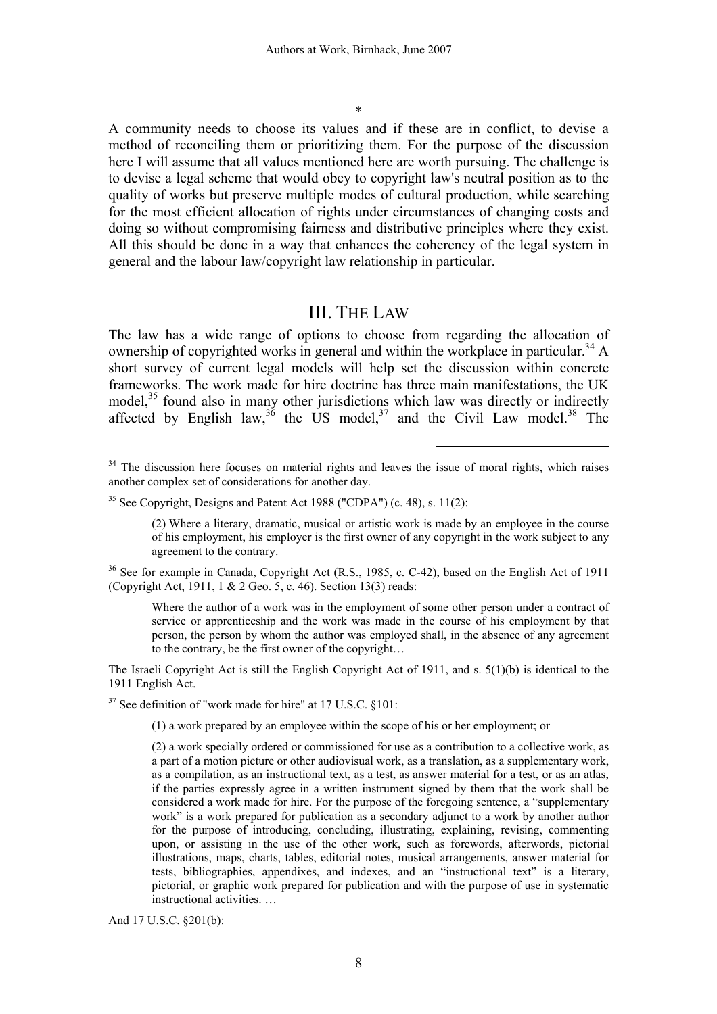\*

A community needs to choose its values and if these are in conflict, to devise a method of reconciling them or prioritizing them. For the purpose of the discussion here I will assume that all values mentioned here are worth pursuing. The challenge is to devise a legal scheme that would obey to copyright law's neutral position as to the quality of works but preserve multiple modes of cultural production, while searching for the most efficient allocation of rights under circumstances of changing costs and doing so without compromising fairness and distributive principles where they exist. All this should be done in a way that enhances the coherency of the legal system in general and the labour law/copyright law relationship in particular.

#### III. THE LAW

The law has a wide range of options to choose from regarding the allocation of ownership of copyrighted works in general and within the workplace in particular.<sup>34</sup> A short survey of current legal models will help set the discussion within concrete frameworks. The work made for hire doctrine has three main manifestations, the UK model,<sup>35</sup> found also in many other jurisdictions which law was directly or indirectly affected by English law,<sup>36</sup> the US model,<sup>37</sup> and the Civil Law model.<sup>38</sup> The

 $\overline{a}$ 

<sup>36</sup> See for example in Canada, Copyright Act (R.S., 1985, c. C-42), based on the English Act of 1911 (Copyright Act, 1911, 1 & 2 Geo. 5, c. 46). Section 13(3) reads:

Where the author of a work was in the employment of some other person under a contract of service or apprenticeship and the work was made in the course of his employment by that person, the person by whom the author was employed shall, in the absence of any agreement to the contrary, be the first owner of the copyright…

The Israeli Copyright Act is still the English Copyright Act of 1911, and s. 5(1)(b) is identical to the 1911 English Act.

 $37$  See definition of "work made for hire" at 17 U.S.C. §101:

(1) a work prepared by an employee within the scope of his or her employment; or

(2) a work specially ordered or commissioned for use as a contribution to a collective work, as a part of a motion picture or other audiovisual work, as a translation, as a supplementary work, as a compilation, as an instructional text, as a test, as answer material for a test, or as an atlas, if the parties expressly agree in a written instrument signed by them that the work shall be considered a work made for hire. For the purpose of the foregoing sentence, a "supplementary work" is a work prepared for publication as a secondary adjunct to a work by another author for the purpose of introducing, concluding, illustrating, explaining, revising, commenting upon, or assisting in the use of the other work, such as forewords, afterwords, pictorial illustrations, maps, charts, tables, editorial notes, musical arrangements, answer material for tests, bibliographies, appendixes, and indexes, and an "instructional text" is a literary, pictorial, or graphic work prepared for publication and with the purpose of use in systematic instructional activities. …

And 17 U.S.C. §201(b):

<sup>&</sup>lt;sup>34</sup> The discussion here focuses on material rights and leaves the issue of moral rights, which raises another complex set of considerations for another day.

 $35$  See Copyright, Designs and Patent Act 1988 ("CDPA") (c. 48), s. 11(2):

<sup>(2)</sup> Where a literary, dramatic, musical or artistic work is made by an employee in the course of his employment, his employer is the first owner of any copyright in the work subject to any agreement to the contrary.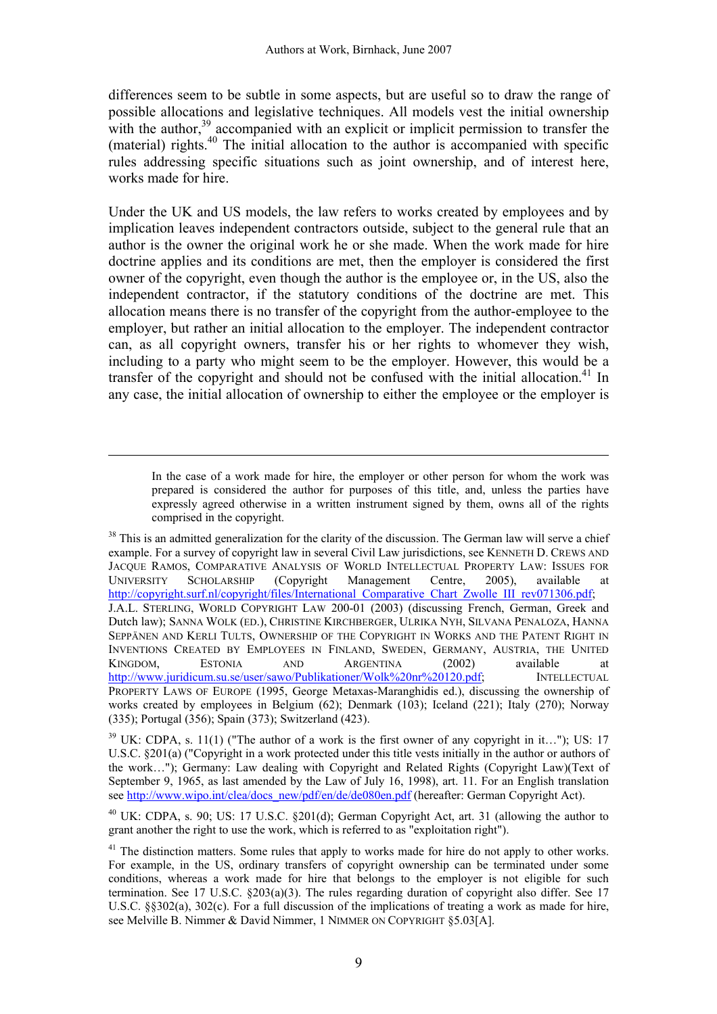differences seem to be subtle in some aspects, but are useful so to draw the range of possible allocations and legislative techniques. All models vest the initial ownership with the author, $39$  accompanied with an explicit or implicit permission to transfer the (material) rights. $40$  The initial allocation to the author is accompanied with specific rules addressing specific situations such as joint ownership, and of interest here, works made for hire.

Under the UK and US models, the law refers to works created by employees and by implication leaves independent contractors outside, subject to the general rule that an author is the owner the original work he or she made. When the work made for hire doctrine applies and its conditions are met, then the employer is considered the first owner of the copyright, even though the author is the employee or, in the US, also the independent contractor, if the statutory conditions of the doctrine are met. This allocation means there is no transfer of the copyright from the author-employee to the employer, but rather an initial allocation to the employer. The independent contractor can, as all copyright owners, transfer his or her rights to whomever they wish, including to a party who might seem to be the employer. However, this would be a transfer of the copyright and should not be confused with the initial allocation.<sup>41</sup> In any case, the initial allocation of ownership to either the employee or the employer is

In the case of a work made for hire, the employer or other person for whom the work was prepared is considered the author for purposes of this title, and, unless the parties have expressly agreed otherwise in a written instrument signed by them, owns all of the rights comprised in the copyright.

<sup>&</sup>lt;sup>38</sup> This is an admitted generalization for the clarity of the discussion. The German law will serve a chief example. For a survey of copyright law in several Civil Law jurisdictions, see KENNETH D. CREWS AND JACQUE RAMOS, COMPARATIVE ANALYSIS OF WORLD INTELLECTUAL PROPERTY LAW: ISSUES FOR UNIVERSITY SCHOLARSHIP (Copyright Management Centre, 2005), available at http://copyright.surf.nl/copyright/files/International\_Comparative\_Chart\_Zwolle\_III\_rev071306.pdf; J.A.L. STERLING, WORLD COPYRIGHT LAW 200-01 (2003) (discussing French, German, Greek and Dutch law); SANNA WOLK (ED.), CHRISTINE KIRCHBERGER, ULRIKA NYH, SILVANA PENALOZA, HANNA SEPPÄNEN AND KERLI TULTS, OWNERSHIP OF THE COPYRIGHT IN WORKS AND THE PATENT RIGHT IN INVENTIONS CREATED BY EMPLOYEES IN FINLAND, SWEDEN, GERMANY, AUSTRIA, THE UNITED KINGDOM, ESTONIA AND ARGENTINA (2002) available at http://www.juridicum.su.se/user/sawo/Publikationer/Wolk%20nr%20120.pdf; INTELLECTUAL PROPERTY LAWS OF EUROPE (1995, George Metaxas-Maranghidis ed.), discussing the ownership of works created by employees in Belgium (62); Denmark (103); Iceland (221); Italy (270); Norway (335); Portugal (356); Spain (373); Switzerland (423).

 $39$  UK: CDPA, s. 11(1) ("The author of a work is the first owner of any copyright in it..."); US: 17 U.S.C. §201(a) ("Copyright in a work protected under this title vests initially in the author or authors of the work…"); Germany: Law dealing with Copyright and Related Rights (Copyright Law)(Text of September 9, 1965, as last amended by the Law of July 16, 1998), art. 11. For an English translation see http://www.wipo.int/clea/docs\_new/pdf/en/de/de080en.pdf (hereafter: German Copyright Act).

<sup>40</sup> UK: CDPA, s. 90; US: 17 U.S.C. §201(d); German Copyright Act, art. 31 (allowing the author to grant another the right to use the work, which is referred to as "exploitation right").

<sup>&</sup>lt;sup>41</sup> The distinction matters. Some rules that apply to works made for hire do not apply to other works. For example, in the US, ordinary transfers of copyright ownership can be terminated under some conditions, whereas a work made for hire that belongs to the employer is not eligible for such termination. See 17 U.S.C. §203(a)(3). The rules regarding duration of copyright also differ. See 17 U.S.C. §§302(a), 302(c). For a full discussion of the implications of treating a work as made for hire, see Melville B. Nimmer & David Nimmer, 1 NIMMER ON COPYRIGHT §5.03[A].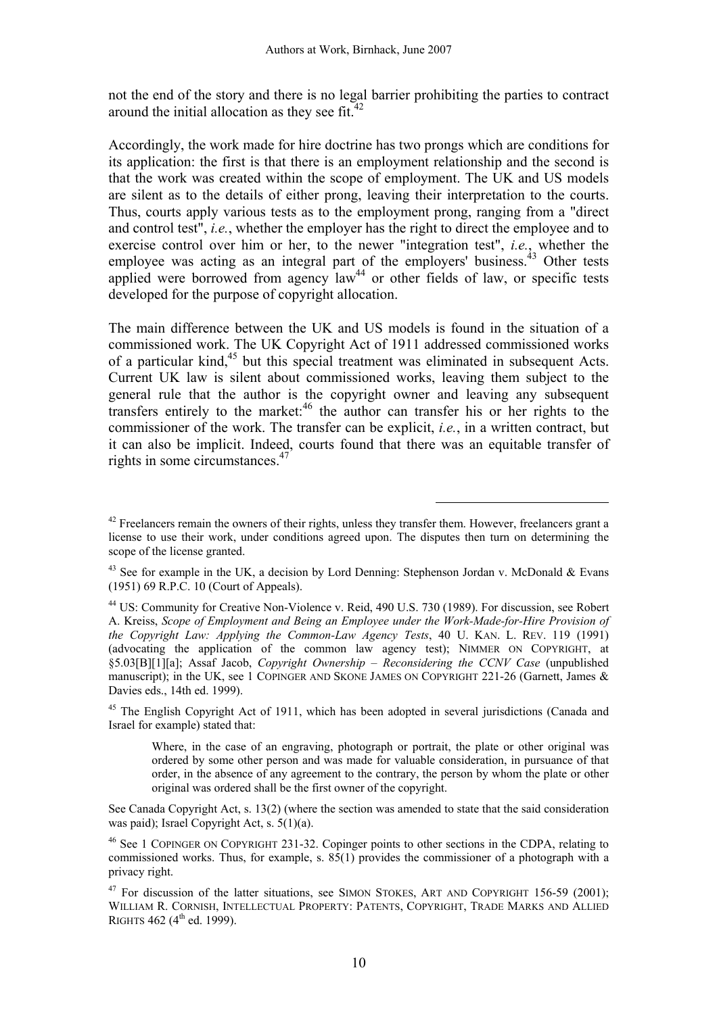not the end of the story and there is no legal barrier prohibiting the parties to contract around the initial allocation as they see fit. $42$ 

Accordingly, the work made for hire doctrine has two prongs which are conditions for its application: the first is that there is an employment relationship and the second is that the work was created within the scope of employment. The UK and US models are silent as to the details of either prong, leaving their interpretation to the courts. Thus, courts apply various tests as to the employment prong, ranging from a "direct and control test", *i.e.*, whether the employer has the right to direct the employee and to exercise control over him or her, to the newer "integration test", *i.e.*, whether the employee was acting as an integral part of the employers' business.<sup> $43$ </sup> Other tests applied were borrowed from agency  $law<sup>44</sup>$  or other fields of law, or specific tests developed for the purpose of copyright allocation.

The main difference between the UK and US models is found in the situation of a commissioned work. The UK Copyright Act of 1911 addressed commissioned works of a particular kind,<sup>45</sup> but this special treatment was eliminated in subsequent Acts. Current UK law is silent about commissioned works, leaving them subject to the general rule that the author is the copyright owner and leaving any subsequent transfers entirely to the market: $46$  the author can transfer his or her rights to the commissioner of the work. The transfer can be explicit, *i.e.*, in a written contract, but it can also be implicit. Indeed, courts found that there was an equitable transfer of rights in some circumstances.<sup>47</sup>

 $\overline{a}$ 

<sup>45</sup> The English Copyright Act of 1911, which has been adopted in several jurisdictions (Canada and Israel for example) stated that:

Where, in the case of an engraving, photograph or portrait, the plate or other original was ordered by some other person and was made for valuable consideration, in pursuance of that order, in the absence of any agreement to the contrary, the person by whom the plate or other original was ordered shall be the first owner of the copyright.

See Canada Copyright Act, s. 13(2) (where the section was amended to state that the said consideration was paid); Israel Copyright Act, s. 5(1)(a).

46 See 1 COPINGER ON COPYRIGHT 231-32. Copinger points to other sections in the CDPA, relating to commissioned works. Thus, for example, s. 85(1) provides the commissioner of a photograph with a privacy right.

 $42$  Freelancers remain the owners of their rights, unless they transfer them. However, freelancers grant a license to use their work, under conditions agreed upon. The disputes then turn on determining the scope of the license granted.

<sup>&</sup>lt;sup>43</sup> See for example in the UK, a decision by Lord Denning: Stephenson Jordan v. McDonald & Evans (1951) 69 R.P.C. 10 (Court of Appeals).

<sup>&</sup>lt;sup>44</sup> US: Community for Creative Non-Violence v. Reid, 490 U.S. 730 (1989). For discussion, see Robert A. Kreiss, *Scope of Employment and Being an Employee under the Work-Made-for-Hire Provision of the Copyright Law: Applying the Common-Law Agency Tests*, 40 U. KAN. L. REV. 119 (1991) (advocating the application of the common law agency test); NIMMER ON COPYRIGHT, at §5.03[B][1][a]; Assaf Jacob, *Copyright Ownership – Reconsidering the CCNV Case* (unpublished manuscript); in the UK, see 1 COPINGER AND SKONE JAMES ON COPYRIGHT 221-26 (Garnett, James & Davies eds., 14th ed. 1999).

<sup>&</sup>lt;sup>47</sup> For discussion of the latter situations, see SIMON STOKES, ART AND COPYRIGHT 156-59 (2001); WILLIAM R. CORNISH, INTELLECTUAL PROPERTY: PATENTS, COPYRIGHT, TRADE MARKS AND ALLIED RIGHTS 462 ( $4^{th}$  ed. 1999).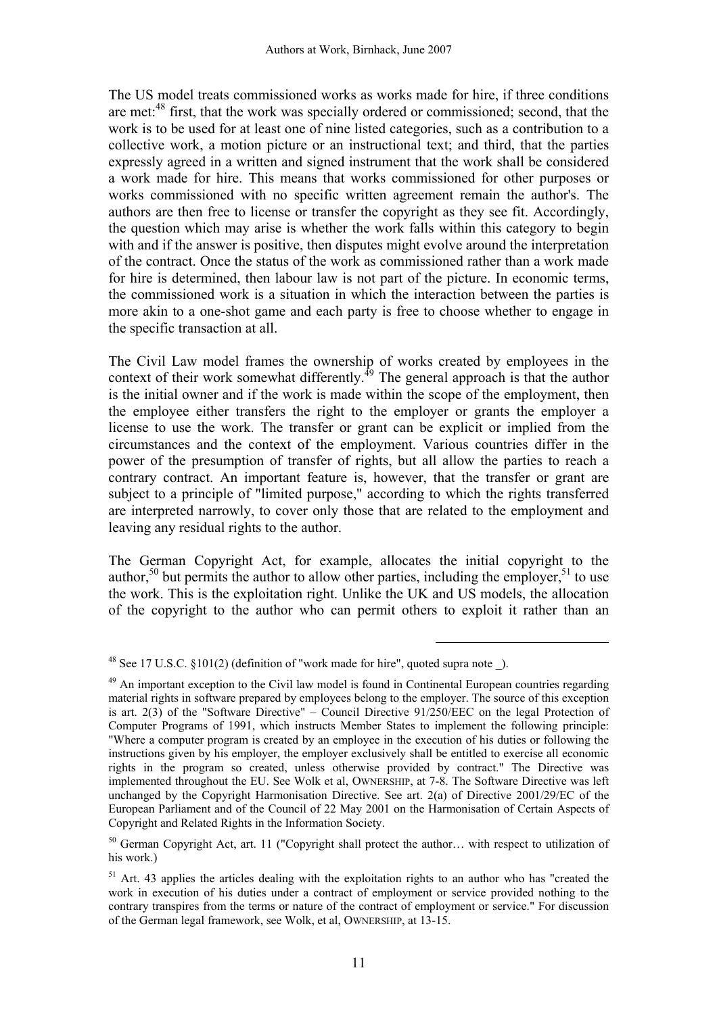The US model treats commissioned works as works made for hire, if three conditions are met:<sup>48</sup> first, that the work was specially ordered or commissioned; second, that the work is to be used for at least one of nine listed categories, such as a contribution to a collective work, a motion picture or an instructional text; and third, that the parties expressly agreed in a written and signed instrument that the work shall be considered a work made for hire. This means that works commissioned for other purposes or works commissioned with no specific written agreement remain the author's. The authors are then free to license or transfer the copyright as they see fit. Accordingly, the question which may arise is whether the work falls within this category to begin with and if the answer is positive, then disputes might evolve around the interpretation of the contract. Once the status of the work as commissioned rather than a work made for hire is determined, then labour law is not part of the picture. In economic terms, the commissioned work is a situation in which the interaction between the parties is more akin to a one-shot game and each party is free to choose whether to engage in the specific transaction at all.

The Civil Law model frames the ownership of works created by employees in the context of their work somewhat differently.<sup> $49$ </sup> The general approach is that the author is the initial owner and if the work is made within the scope of the employment, then the employee either transfers the right to the employer or grants the employer a license to use the work. The transfer or grant can be explicit or implied from the circumstances and the context of the employment. Various countries differ in the power of the presumption of transfer of rights, but all allow the parties to reach a contrary contract. An important feature is, however, that the transfer or grant are subject to a principle of "limited purpose," according to which the rights transferred are interpreted narrowly, to cover only those that are related to the employment and leaving any residual rights to the author.

The German Copyright Act, for example, allocates the initial copyright to the author,<sup>50</sup> but permits the author to allow other parties, including the employer,<sup>51</sup> to use the work. This is the exploitation right. Unlike the UK and US models, the allocation of the copyright to the author who can permit others to exploit it rather than an

<sup>&</sup>lt;sup>48</sup> See 17 U.S.C.  $$101(2)$  (definition of "work made for hire", quoted supra note).

<sup>&</sup>lt;sup>49</sup> An important exception to the Civil law model is found in Continental European countries regarding material rights in software prepared by employees belong to the employer. The source of this exception is art. 2(3) of the "Software Directive" – Council Directive 91/250/EEC on the legal Protection of Computer Programs of 1991, which instructs Member States to implement the following principle: "Where a computer program is created by an employee in the execution of his duties or following the instructions given by his employer, the employer exclusively shall be entitled to exercise all economic rights in the program so created, unless otherwise provided by contract." The Directive was implemented throughout the EU. See Wolk et al, OWNERSHIP, at 7-8. The Software Directive was left unchanged by the Copyright Harmonisation Directive. See art. 2(a) of Directive 2001/29/EC of the European Parliament and of the Council of 22 May 2001 on the Harmonisation of Certain Aspects of Copyright and Related Rights in the Information Society.

<sup>&</sup>lt;sup>50</sup> German Copyright Act, art. 11 ("Copyright shall protect the author... with respect to utilization of his work.)

 $<sup>51</sup>$  Art. 43 applies the articles dealing with the exploitation rights to an author who has "created the</sup> work in execution of his duties under a contract of employment or service provided nothing to the contrary transpires from the terms or nature of the contract of employment or service." For discussion of the German legal framework, see Wolk, et al, OWNERSHIP, at 13-15.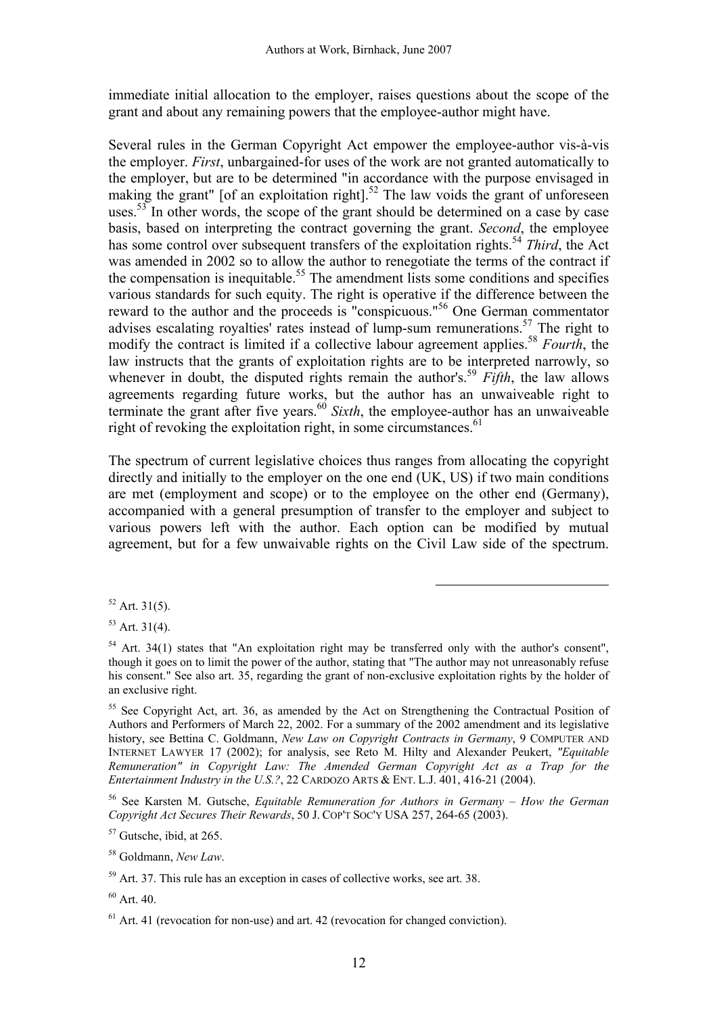immediate initial allocation to the employer, raises questions about the scope of the grant and about any remaining powers that the employee-author might have.

Several rules in the German Copyright Act empower the employee-author vis-à-vis the employer. *First*, unbargained-for uses of the work are not granted automatically to the employer, but are to be determined "in accordance with the purpose envisaged in making the grant" [of an exploitation right].<sup>52</sup> The law voids the grant of unforeseen uses.<sup>53</sup> In other words, the scope of the grant should be determined on a case by case basis, based on interpreting the contract governing the grant. *Second*, the employee has some control over subsequent transfers of the exploitation rights.<sup>54</sup> *Third*, the Act was amended in 2002 so to allow the author to renegotiate the terms of the contract if the compensation is inequitable.<sup>55</sup> The amendment lists some conditions and specifies various standards for such equity. The right is operative if the difference between the reward to the author and the proceeds is "conspicuous."56 One German commentator advises escalating royalties' rates instead of lump-sum remunerations.<sup>57</sup> The right to modify the contract is limited if a collective labour agreement applies.<sup>58</sup> *Fourth*, the law instructs that the grants of exploitation rights are to be interpreted narrowly, so whenever in doubt, the disputed rights remain the author's.<sup>59</sup> *Fifth*, the law allows agreements regarding future works, but the author has an unwaiveable right to terminate the grant after five years.<sup>60</sup> *Sixth*, the employee-author has an unwaiveable right of revoking the exploitation right, in some circumstances. $61$ 

The spectrum of current legislative choices thus ranges from allocating the copyright directly and initially to the employer on the one end (UK, US) if two main conditions are met (employment and scope) or to the employee on the other end (Germany), accompanied with a general presumption of transfer to the employer and subject to various powers left with the author. Each option can be modified by mutual agreement, but for a few unwaivable rights on the Civil Law side of the spectrum.

 $\overline{a}$ 

 $53$  Art. 31(4).

56 See Karsten M. Gutsche, *Equitable Remuneration for Authors in Germany – How the German Copyright Act Secures Their Rewards*, 50 J. COP'T SOC'Y USA 257, 264-65 (2003).

 $57$  Gutsche, ibid, at 265.

58 Goldmann, *New Law*.

<sup>59</sup> Art. 37. This rule has an exception in cases of collective works, see art. 38.

 $60$  Art. 40.

 $52$  Art. 31(5).

 $54$  Art. 34(1) states that "An exploitation right may be transferred only with the author's consent". though it goes on to limit the power of the author, stating that "The author may not unreasonably refuse his consent." See also art. 35, regarding the grant of non-exclusive exploitation rights by the holder of an exclusive right.

<sup>&</sup>lt;sup>55</sup> See Copyright Act, art. 36, as amended by the Act on Strengthening the Contractual Position of Authors and Performers of March 22, 2002. For a summary of the 2002 amendment and its legislative history, see Bettina C. Goldmann, *New Law on Copyright Contracts in Germany*, 9 COMPUTER AND INTERNET LAWYER 17 (2002); for analysis, see Reto M. Hilty and Alexander Peukert, *"Equitable Remuneration" in Copyright Law: The Amended German Copyright Act as a Trap for the Entertainment Industry in the U.S.?*, 22 CARDOZO ARTS & ENT. L.J. 401, 416-21 (2004).

 $<sup>61</sup>$  Art. 41 (revocation for non-use) and art. 42 (revocation for changed conviction).</sup>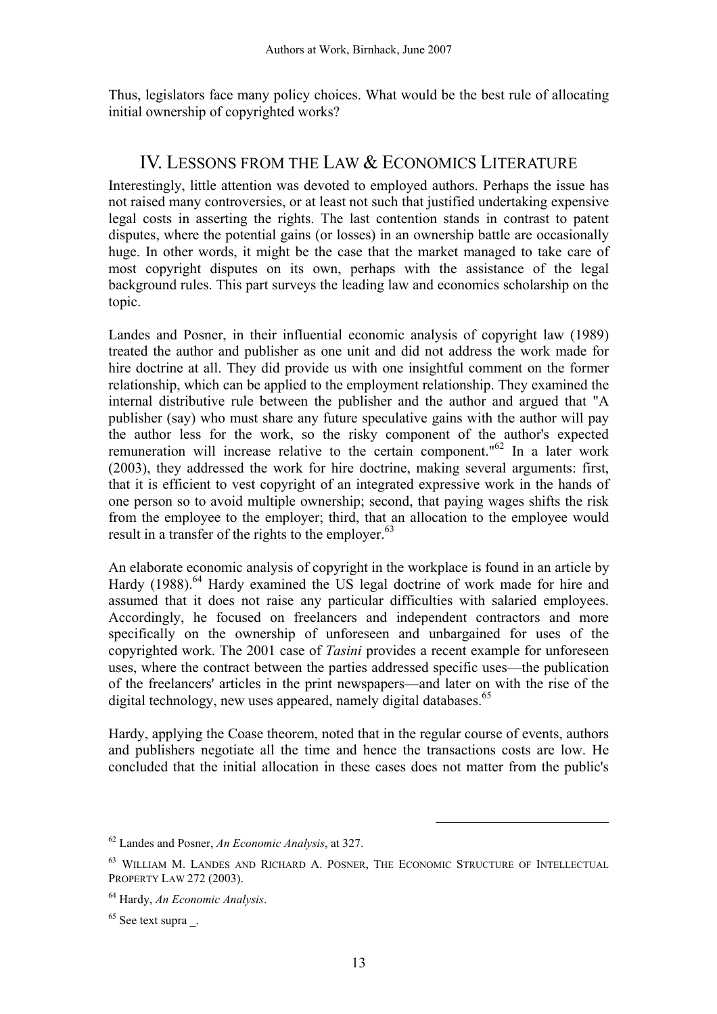Thus, legislators face many policy choices. What would be the best rule of allocating initial ownership of copyrighted works?

# IV. LESSONS FROM THE LAW & ECONOMICS LITERATURE

Interestingly, little attention was devoted to employed authors. Perhaps the issue has not raised many controversies, or at least not such that justified undertaking expensive legal costs in asserting the rights. The last contention stands in contrast to patent disputes, where the potential gains (or losses) in an ownership battle are occasionally huge. In other words, it might be the case that the market managed to take care of most copyright disputes on its own, perhaps with the assistance of the legal background rules. This part surveys the leading law and economics scholarship on the topic.

Landes and Posner, in their influential economic analysis of copyright law (1989) treated the author and publisher as one unit and did not address the work made for hire doctrine at all. They did provide us with one insightful comment on the former relationship, which can be applied to the employment relationship. They examined the internal distributive rule between the publisher and the author and argued that "A publisher (say) who must share any future speculative gains with the author will pay the author less for the work, so the risky component of the author's expected remuneration will increase relative to the certain component."62 In a later work (2003), they addressed the work for hire doctrine, making several arguments: first, that it is efficient to vest copyright of an integrated expressive work in the hands of one person so to avoid multiple ownership; second, that paying wages shifts the risk from the employee to the employer; third, that an allocation to the employee would result in a transfer of the rights to the employer.<sup>63</sup>

An elaborate economic analysis of copyright in the workplace is found in an article by Hardy (1988).<sup>64</sup> Hardy examined the US legal doctrine of work made for hire and assumed that it does not raise any particular difficulties with salaried employees. Accordingly, he focused on freelancers and independent contractors and more specifically on the ownership of unforeseen and unbargained for uses of the copyrighted work. The 2001 case of *Tasini* provides a recent example for unforeseen uses, where the contract between the parties addressed specific uses—the publication of the freelancers' articles in the print newspapers—and later on with the rise of the digital technology, new uses appeared, namely digital databases.<sup>65</sup>

Hardy, applying the Coase theorem, noted that in the regular course of events, authors and publishers negotiate all the time and hence the transactions costs are low. He concluded that the initial allocation in these cases does not matter from the public's

<sup>62</sup> Landes and Posner, *An Economic Analysis*, at 327.

<sup>63</sup> WILLIAM M. LANDES AND RICHARD A. POSNER, THE ECONOMIC STRUCTURE OF INTELLECTUAL PROPERTY LAW 272 (2003).

<sup>64</sup> Hardy, *An Economic Analysis*.

 $65$  See text supra  $\phantom{1}$ .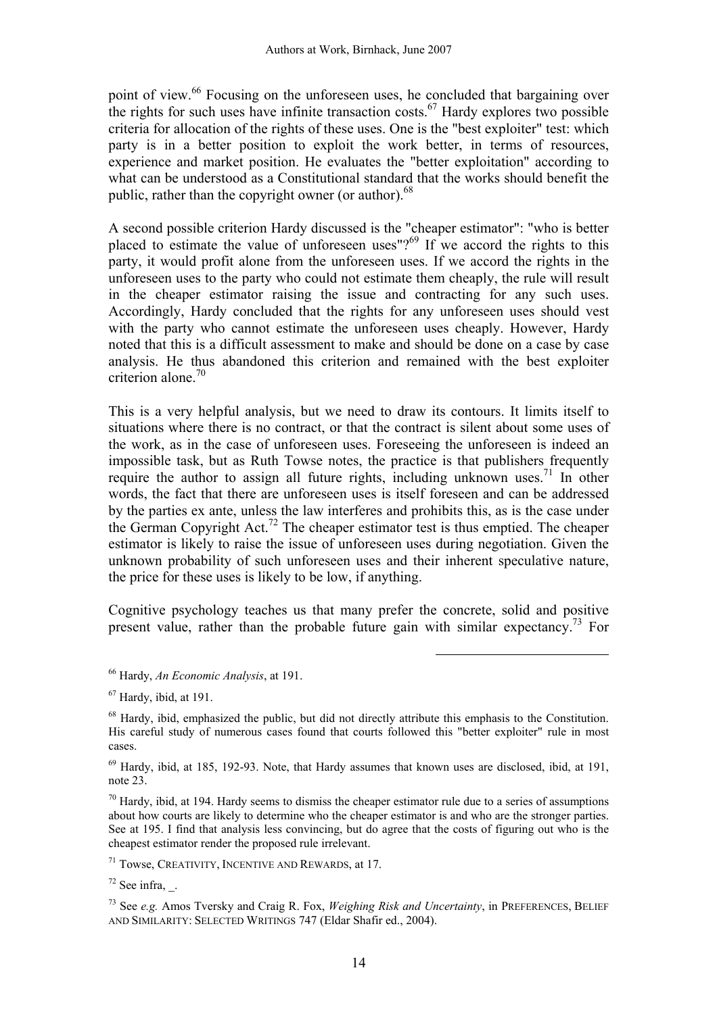point of view.<sup>66</sup> Focusing on the unforeseen uses, he concluded that bargaining over the rights for such uses have infinite transaction costs.<sup>67</sup> Hardy explores two possible criteria for allocation of the rights of these uses. One is the "best exploiter" test: which party is in a better position to exploit the work better, in terms of resources, experience and market position. He evaluates the "better exploitation" according to what can be understood as a Constitutional standard that the works should benefit the public, rather than the copyright owner (or author).<sup>68</sup>

A second possible criterion Hardy discussed is the "cheaper estimator": "who is better placed to estimate the value of unforeseen uses"? $^{69}$  If we accord the rights to this party, it would profit alone from the unforeseen uses. If we accord the rights in the unforeseen uses to the party who could not estimate them cheaply, the rule will result in the cheaper estimator raising the issue and contracting for any such uses. Accordingly, Hardy concluded that the rights for any unforeseen uses should vest with the party who cannot estimate the unforeseen uses cheaply. However, Hardy noted that this is a difficult assessment to make and should be done on a case by case analysis. He thus abandoned this criterion and remained with the best exploiter criterion alone  $70$ 

This is a very helpful analysis, but we need to draw its contours. It limits itself to situations where there is no contract, or that the contract is silent about some uses of the work, as in the case of unforeseen uses. Foreseeing the unforeseen is indeed an impossible task, but as Ruth Towse notes, the practice is that publishers frequently require the author to assign all future rights, including unknown uses.<sup>71</sup> In other words, the fact that there are unforeseen uses is itself foreseen and can be addressed by the parties ex ante, unless the law interferes and prohibits this, as is the case under the German Copyright Act.72 The cheaper estimator test is thus emptied. The cheaper estimator is likely to raise the issue of unforeseen uses during negotiation. Given the unknown probability of such unforeseen uses and their inherent speculative nature, the price for these uses is likely to be low, if anything.

Cognitive psychology teaches us that many prefer the concrete, solid and positive present value, rather than the probable future gain with similar expectancy.73 For

 $\overline{a}$ 

 $70$  Hardy, ibid, at 194. Hardy seems to dismiss the cheaper estimator rule due to a series of assumptions about how courts are likely to determine who the cheaper estimator is and who are the stronger parties. See at 195. I find that analysis less convincing, but do agree that the costs of figuring out who is the cheapest estimator render the proposed rule irrelevant.

71 Towse, CREATIVITY, INCENTIVE AND REWARDS, at 17.

 $72$  See infra,  $\therefore$ 

73 See *e.g.* Amos Tversky and Craig R. Fox, *Weighing Risk and Uncertainty*, in PREFERENCES, BELIEF AND SIMILARITY: SELECTED WRITINGS 747 (Eldar Shafir ed., 2004).

<sup>66</sup> Hardy, *An Economic Analysis*, at 191.

 $67$  Hardy, ibid, at 191.

<sup>&</sup>lt;sup>68</sup> Hardy, ibid, emphasized the public, but did not directly attribute this emphasis to the Constitution. His careful study of numerous cases found that courts followed this "better exploiter" rule in most cases.

<sup>69</sup> Hardy, ibid, at 185, 192-93. Note, that Hardy assumes that known uses are disclosed, ibid, at 191, note 23.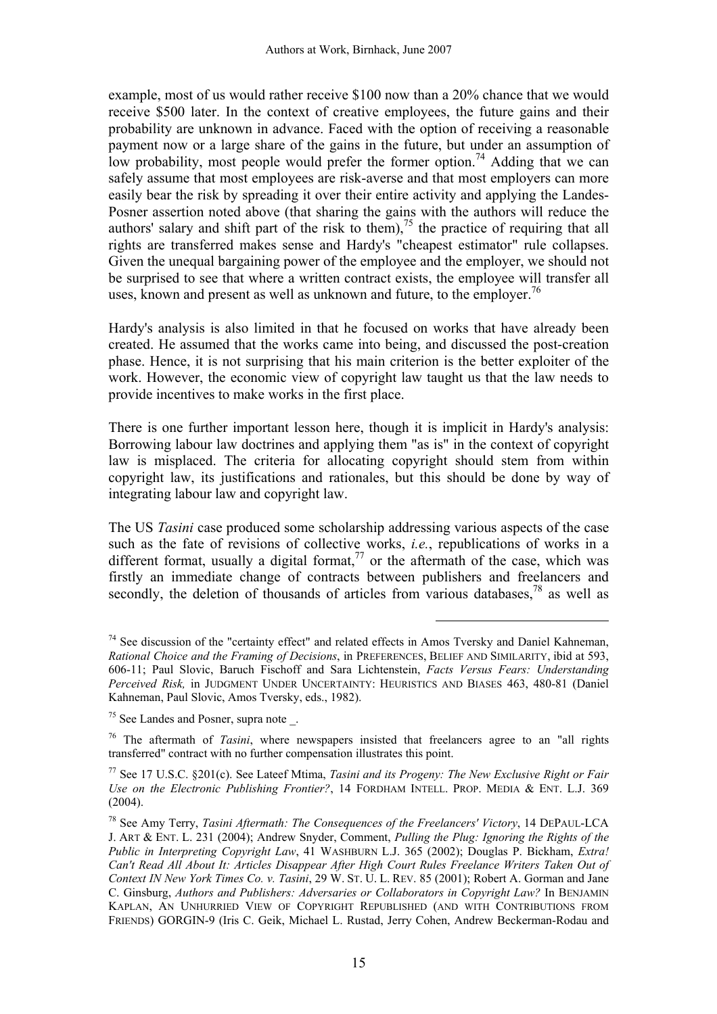example, most of us would rather receive \$100 now than a 20% chance that we would receive \$500 later. In the context of creative employees, the future gains and their probability are unknown in advance. Faced with the option of receiving a reasonable payment now or a large share of the gains in the future, but under an assumption of low probability, most people would prefer the former option.<sup>74</sup> Adding that we can safely assume that most employees are risk-averse and that most employers can more easily bear the risk by spreading it over their entire activity and applying the Landes-Posner assertion noted above (that sharing the gains with the authors will reduce the authors' salary and shift part of the risk to them),<sup>75</sup> the practice of requiring that all rights are transferred makes sense and Hardy's "cheapest estimator" rule collapses. Given the unequal bargaining power of the employee and the employer, we should not be surprised to see that where a written contract exists, the employee will transfer all uses, known and present as well as unknown and future, to the employer.<sup>76</sup>

Hardy's analysis is also limited in that he focused on works that have already been created. He assumed that the works came into being, and discussed the post-creation phase. Hence, it is not surprising that his main criterion is the better exploiter of the work. However, the economic view of copyright law taught us that the law needs to provide incentives to make works in the first place.

There is one further important lesson here, though it is implicit in Hardy's analysis: Borrowing labour law doctrines and applying them "as is" in the context of copyright law is misplaced. The criteria for allocating copyright should stem from within copyright law, its justifications and rationales, but this should be done by way of integrating labour law and copyright law.

The US *Tasini* case produced some scholarship addressing various aspects of the case such as the fate of revisions of collective works, *i.e.*, republications of works in a different format, usually a digital format, $77$  or the aftermath of the case, which was firstly an immediate change of contracts between publishers and freelancers and secondly, the deletion of thousands of articles from various databases.<sup>78</sup> as well as

 $74$  See discussion of the "certainty effect" and related effects in Amos Tversky and Daniel Kahneman, *Rational Choice and the Framing of Decisions*, in PREFERENCES, BELIEF AND SIMILARITY, ibid at 593, 606-11; Paul Slovic, Baruch Fischoff and Sara Lichtenstein, *Facts Versus Fears: Understanding Perceived Risk,* in JUDGMENT UNDER UNCERTAINTY: HEURISTICS AND BIASES 463, 480-81 (Daniel Kahneman, Paul Slovic, Amos Tversky, eds., 1982).

<sup>75</sup> See Landes and Posner, supra note \_.

<sup>76</sup> The aftermath of *Tasini*, where newspapers insisted that freelancers agree to an "all rights transferred" contract with no further compensation illustrates this point.

<sup>77</sup> See 17 U.S.C. §201(c). See Lateef Mtima, *Tasini and its Progeny: The New Exclusive Right or Fair Use on the Electronic Publishing Frontier?*, 14 FORDHAM INTELL. PROP. MEDIA & ENT. L.J. 369 (2004).

<sup>78</sup> See Amy Terry, *Tasini Aftermath: The Consequences of the Freelancers' Victory*, 14 DEPAUL-LCA J. ART & ENT. L. 231 (2004); Andrew Snyder, Comment, *Pulling the Plug: Ignoring the Rights of the Public in Interpreting Copyright Law*, 41 WASHBURN L.J. 365 (2002); Douglas P. Bickham, *Extra! Can't Read All About It: Articles Disappear After High Court Rules Freelance Writers Taken Out of Context IN New York Times Co. v. Tasini*, 29 W. ST. U. L. REV. 85 (2001); Robert A. Gorman and Jane C. Ginsburg, *Authors and Publishers: Adversaries or Collaborators in Copyright Law?* In BENJAMIN KAPLAN, AN UNHURRIED VIEW OF COPYRIGHT REPUBLISHED (AND WITH CONTRIBUTIONS FROM FRIENDS) GORGIN-9 (Iris C. Geik, Michael L. Rustad, Jerry Cohen, Andrew Beckerman-Rodau and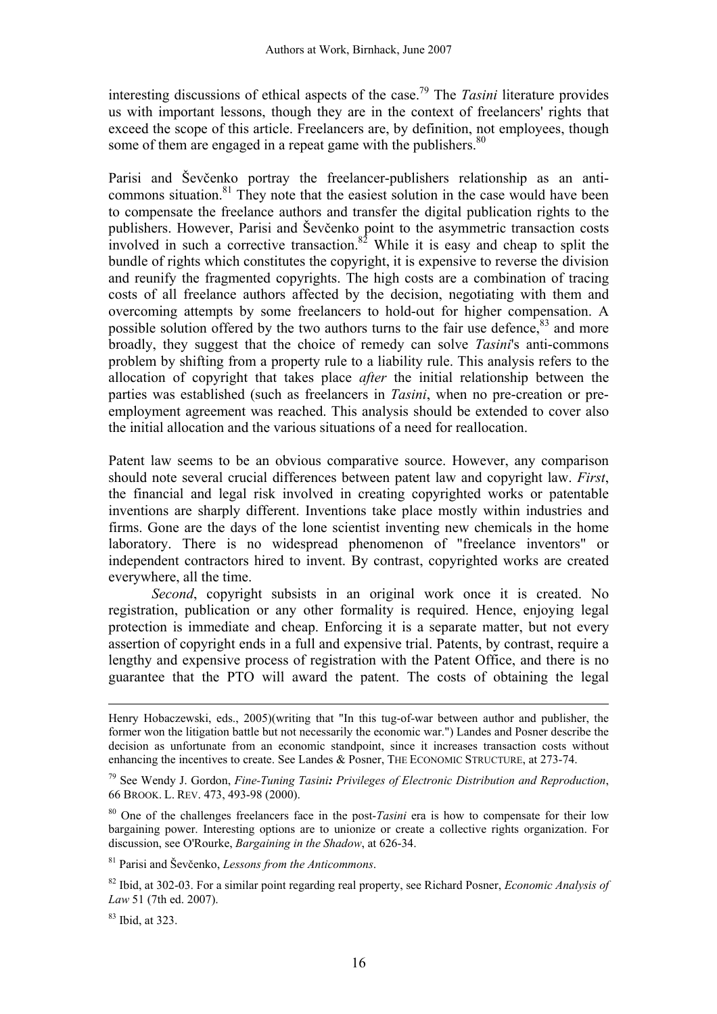interesting discussions of ethical aspects of the case.79 The *Tasini* literature provides us with important lessons, though they are in the context of freelancers' rights that exceed the scope of this article. Freelancers are, by definition, not employees, though some of them are engaged in a repeat game with the publishers.<sup>80</sup>

Parisi and Ševčenko portray the freelancer-publishers relationship as an anticommons situation. $81$  They note that the easiest solution in the case would have been to compensate the freelance authors and transfer the digital publication rights to the publishers. However, Parisi and Ševčenko point to the asymmetric transaction costs involved in such a corrective transaction. $82$  While it is easy and cheap to split the bundle of rights which constitutes the copyright, it is expensive to reverse the division and reunify the fragmented copyrights. The high costs are a combination of tracing costs of all freelance authors affected by the decision, negotiating with them and overcoming attempts by some freelancers to hold-out for higher compensation. A possible solution offered by the two authors turns to the fair use defence,<sup>83</sup> and more broadly, they suggest that the choice of remedy can solve *Tasini*'s anti-commons problem by shifting from a property rule to a liability rule. This analysis refers to the allocation of copyright that takes place *after* the initial relationship between the parties was established (such as freelancers in *Tasini*, when no pre-creation or preemployment agreement was reached. This analysis should be extended to cover also the initial allocation and the various situations of a need for reallocation.

Patent law seems to be an obvious comparative source. However, any comparison should note several crucial differences between patent law and copyright law. *First*, the financial and legal risk involved in creating copyrighted works or patentable inventions are sharply different. Inventions take place mostly within industries and firms. Gone are the days of the lone scientist inventing new chemicals in the home laboratory. There is no widespread phenomenon of "freelance inventors" or independent contractors hired to invent. By contrast, copyrighted works are created everywhere, all the time.

*Second*, copyright subsists in an original work once it is created. No registration, publication or any other formality is required. Hence, enjoying legal protection is immediate and cheap. Enforcing it is a separate matter, but not every assertion of copyright ends in a full and expensive trial. Patents, by contrast, require a lengthy and expensive process of registration with the Patent Office, and there is no guarantee that the PTO will award the patent. The costs of obtaining the legal

<sup>80</sup> One of the challenges freelancers face in the post-*Tasini* era is how to compensate for their low bargaining power. Interesting options are to unionize or create a collective rights organization. For discussion, see O'Rourke, *Bargaining in the Shadow*, at 626-34.

81 Parisi and Ševčenko, *Lessons from the Anticommons*.

82 Ibid, at 302-03. For a similar point regarding real property, see Richard Posner, *Economic Analysis of Law* 51 (7th ed. 2007).

 $83$  Ibid, at 323.

Henry Hobaczewski, eds., 2005)(writing that "In this tug-of-war between author and publisher, the former won the litigation battle but not necessarily the economic war.") Landes and Posner describe the decision as unfortunate from an economic standpoint, since it increases transaction costs without enhancing the incentives to create. See Landes & Posner, THE ECONOMIC STRUCTURE, at 273-74.

<sup>79</sup> See Wendy J. Gordon, *Fine-Tuning Tasini: Privileges of Electronic Distribution and Reproduction*, 66 BROOK. L. REV. 473, 493-98 (2000).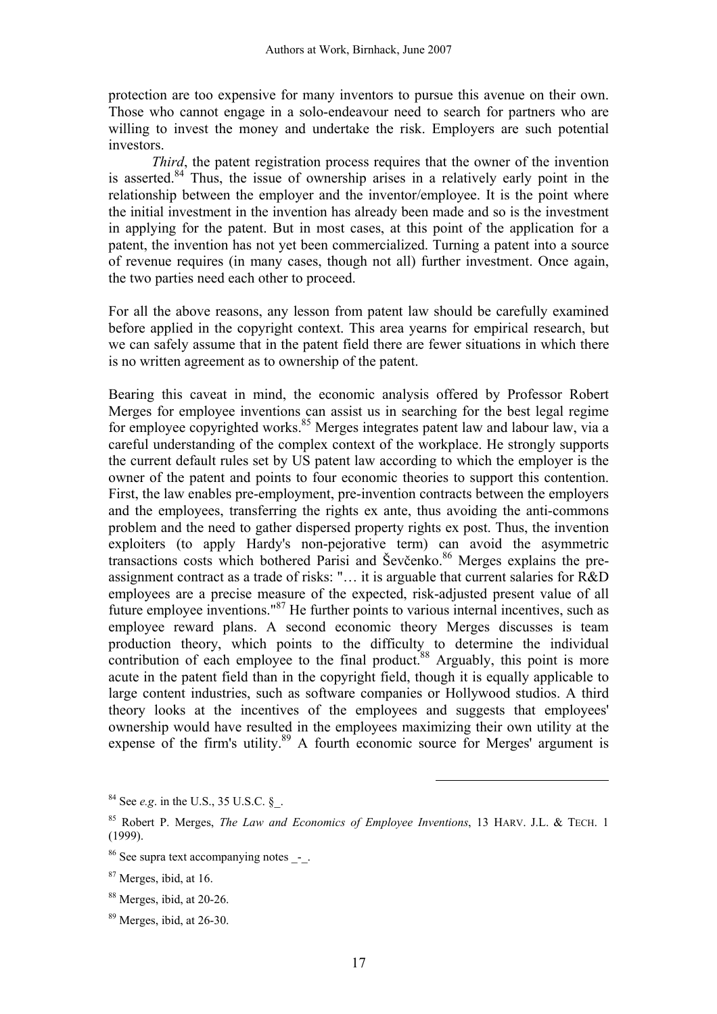protection are too expensive for many inventors to pursue this avenue on their own. Those who cannot engage in a solo-endeavour need to search for partners who are willing to invest the money and undertake the risk. Employers are such potential investors.

*Third*, the patent registration process requires that the owner of the invention is asserted.84 Thus, the issue of ownership arises in a relatively early point in the relationship between the employer and the inventor/employee. It is the point where the initial investment in the invention has already been made and so is the investment in applying for the patent. But in most cases, at this point of the application for a patent, the invention has not yet been commercialized. Turning a patent into a source of revenue requires (in many cases, though not all) further investment. Once again, the two parties need each other to proceed.

For all the above reasons, any lesson from patent law should be carefully examined before applied in the copyright context. This area yearns for empirical research, but we can safely assume that in the patent field there are fewer situations in which there is no written agreement as to ownership of the patent.

Bearing this caveat in mind, the economic analysis offered by Professor Robert Merges for employee inventions can assist us in searching for the best legal regime for employee copyrighted works.<sup>85</sup> Merges integrates patent law and labour law, via a careful understanding of the complex context of the workplace. He strongly supports the current default rules set by US patent law according to which the employer is the owner of the patent and points to four economic theories to support this contention. First, the law enables pre-employment, pre-invention contracts between the employers and the employees, transferring the rights ex ante, thus avoiding the anti-commons problem and the need to gather dispersed property rights ex post. Thus, the invention exploiters (to apply Hardy's non-pejorative term) can avoid the asymmetric transactions costs which bothered Parisi and Ševčenko.<sup>86</sup> Merges explains the preassignment contract as a trade of risks: "… it is arguable that current salaries for R&D employees are a precise measure of the expected, risk-adjusted present value of all future employee inventions."87 He further points to various internal incentives, such as employee reward plans. A second economic theory Merges discusses is team production theory, which points to the difficulty to determine the individual contribution of each employee to the final product.<sup>88</sup> Arguably, this point is more acute in the patent field than in the copyright field, though it is equally applicable to large content industries, such as software companies or Hollywood studios. A third theory looks at the incentives of the employees and suggests that employees' ownership would have resulted in the employees maximizing their own utility at the expense of the firm's utility.<sup>89</sup> A fourth economic source for Merges' argument is

 $84$  See *e.g.* in the U.S., 35 U.S.C.  $\S$ .

<sup>85</sup> Robert P. Merges, *The Law and Economics of Employee Inventions*, 13 HARV. J.L. & TECH. 1 (1999).

<sup>&</sup>lt;sup>86</sup> See supra text accompanying notes -.

<sup>87</sup> Merges, ibid, at 16.

<sup>88</sup> Merges, ibid, at 20-26.

<sup>89</sup> Merges, ibid, at 26-30.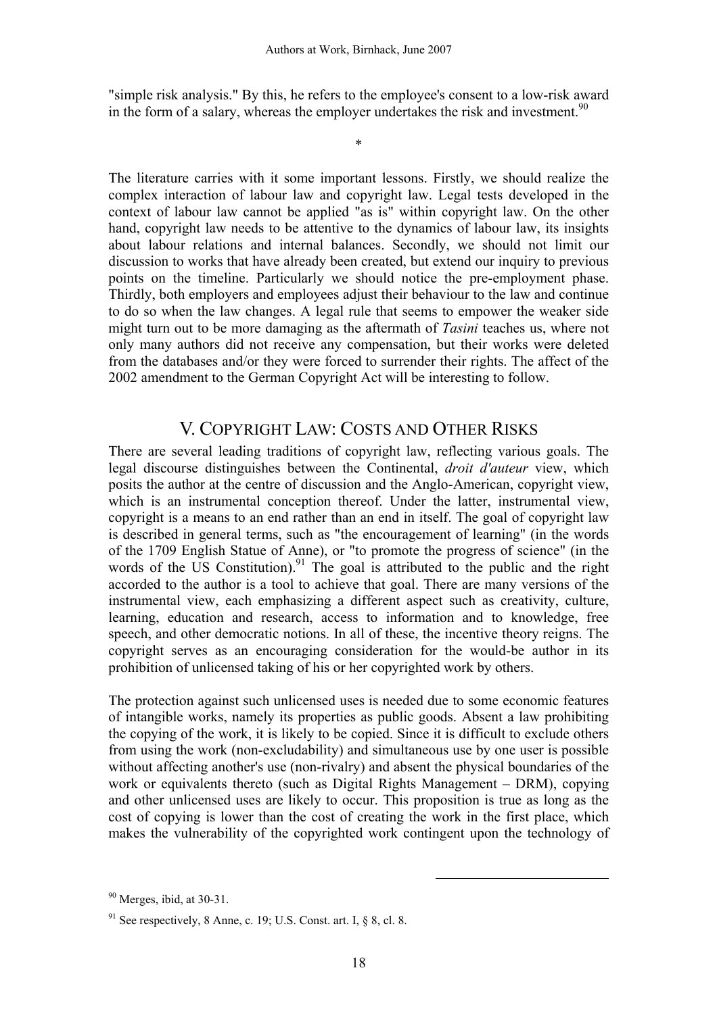"simple risk analysis." By this, he refers to the employee's consent to a low-risk award in the form of a salary, whereas the employer undertakes the risk and investment.<sup>90</sup>

\*

The literature carries with it some important lessons. Firstly, we should realize the complex interaction of labour law and copyright law. Legal tests developed in the context of labour law cannot be applied "as is" within copyright law. On the other hand, copyright law needs to be attentive to the dynamics of labour law, its insights about labour relations and internal balances. Secondly, we should not limit our discussion to works that have already been created, but extend our inquiry to previous points on the timeline. Particularly we should notice the pre-employment phase. Thirdly, both employers and employees adjust their behaviour to the law and continue to do so when the law changes. A legal rule that seems to empower the weaker side might turn out to be more damaging as the aftermath of *Tasini* teaches us, where not only many authors did not receive any compensation, but their works were deleted from the databases and/or they were forced to surrender their rights. The affect of the 2002 amendment to the German Copyright Act will be interesting to follow.

## V. COPYRIGHT LAW: COSTS AND OTHER RISKS

There are several leading traditions of copyright law, reflecting various goals. The legal discourse distinguishes between the Continental, *droit d'auteur* view, which posits the author at the centre of discussion and the Anglo-American, copyright view, which is an instrumental conception thereof. Under the latter, instrumental view, copyright is a means to an end rather than an end in itself. The goal of copyright law is described in general terms, such as "the encouragement of learning" (in the words of the 1709 English Statue of Anne), or "to promote the progress of science" (in the words of the US Constitution).<sup>91</sup> The goal is attributed to the public and the right accorded to the author is a tool to achieve that goal. There are many versions of the instrumental view, each emphasizing a different aspect such as creativity, culture, learning, education and research, access to information and to knowledge, free speech, and other democratic notions. In all of these, the incentive theory reigns. The copyright serves as an encouraging consideration for the would-be author in its prohibition of unlicensed taking of his or her copyrighted work by others.

The protection against such unlicensed uses is needed due to some economic features of intangible works, namely its properties as public goods. Absent a law prohibiting the copying of the work, it is likely to be copied. Since it is difficult to exclude others from using the work (non-excludability) and simultaneous use by one user is possible without affecting another's use (non-rivalry) and absent the physical boundaries of the work or equivalents thereto (such as Digital Rights Management – DRM), copying and other unlicensed uses are likely to occur. This proposition is true as long as the cost of copying is lower than the cost of creating the work in the first place, which makes the vulnerability of the copyrighted work contingent upon the technology of

 $90$  Merges, ibid, at 30-31.

 $91$  See respectively, 8 Anne, c. 19; U.S. Const. art. I,  $\S$  8, cl. 8.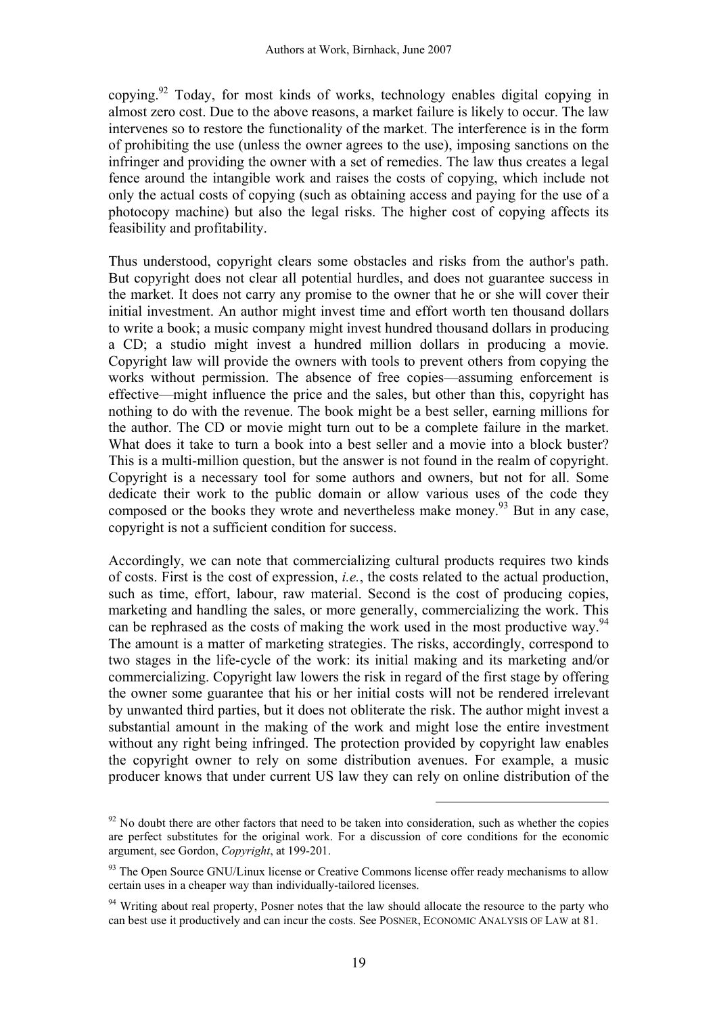copying.92 Today, for most kinds of works, technology enables digital copying in almost zero cost. Due to the above reasons, a market failure is likely to occur. The law intervenes so to restore the functionality of the market. The interference is in the form of prohibiting the use (unless the owner agrees to the use), imposing sanctions on the infringer and providing the owner with a set of remedies. The law thus creates a legal fence around the intangible work and raises the costs of copying, which include not only the actual costs of copying (such as obtaining access and paying for the use of a photocopy machine) but also the legal risks. The higher cost of copying affects its feasibility and profitability.

Thus understood, copyright clears some obstacles and risks from the author's path. But copyright does not clear all potential hurdles, and does not guarantee success in the market. It does not carry any promise to the owner that he or she will cover their initial investment. An author might invest time and effort worth ten thousand dollars to write a book; a music company might invest hundred thousand dollars in producing a CD; a studio might invest a hundred million dollars in producing a movie. Copyright law will provide the owners with tools to prevent others from copying the works without permission. The absence of free copies—assuming enforcement is effective—might influence the price and the sales, but other than this, copyright has nothing to do with the revenue. The book might be a best seller, earning millions for the author. The CD or movie might turn out to be a complete failure in the market. What does it take to turn a book into a best seller and a movie into a block buster? This is a multi-million question, but the answer is not found in the realm of copyright. Copyright is a necessary tool for some authors and owners, but not for all. Some dedicate their work to the public domain or allow various uses of the code they composed or the books they wrote and nevertheless make money.<sup>93</sup> But in any case, copyright is not a sufficient condition for success.

Accordingly, we can note that commercializing cultural products requires two kinds of costs. First is the cost of expression, *i.e.*, the costs related to the actual production, such as time, effort, labour, raw material. Second is the cost of producing copies, marketing and handling the sales, or more generally, commercializing the work. This can be rephrased as the costs of making the work used in the most productive way.<sup>94</sup> The amount is a matter of marketing strategies. The risks, accordingly, correspond to two stages in the life-cycle of the work: its initial making and its marketing and/or commercializing. Copyright law lowers the risk in regard of the first stage by offering the owner some guarantee that his or her initial costs will not be rendered irrelevant by unwanted third parties, but it does not obliterate the risk. The author might invest a substantial amount in the making of the work and might lose the entire investment without any right being infringed. The protection provided by copyright law enables the copyright owner to rely on some distribution avenues. For example, a music producer knows that under current US law they can rely on online distribution of the

 $92$  No doubt there are other factors that need to be taken into consideration, such as whether the copies are perfect substitutes for the original work. For a discussion of core conditions for the economic argument, see Gordon, *Copyright*, at 199-201.

 $93$  The Open Source GNU/Linux license or Creative Commons license offer ready mechanisms to allow certain uses in a cheaper way than individually-tailored licenses.

<sup>&</sup>lt;sup>94</sup> Writing about real property. Posner notes that the law should allocate the resource to the party who can best use it productively and can incur the costs. See POSNER, ECONOMIC ANALYSIS OF LAW at 81.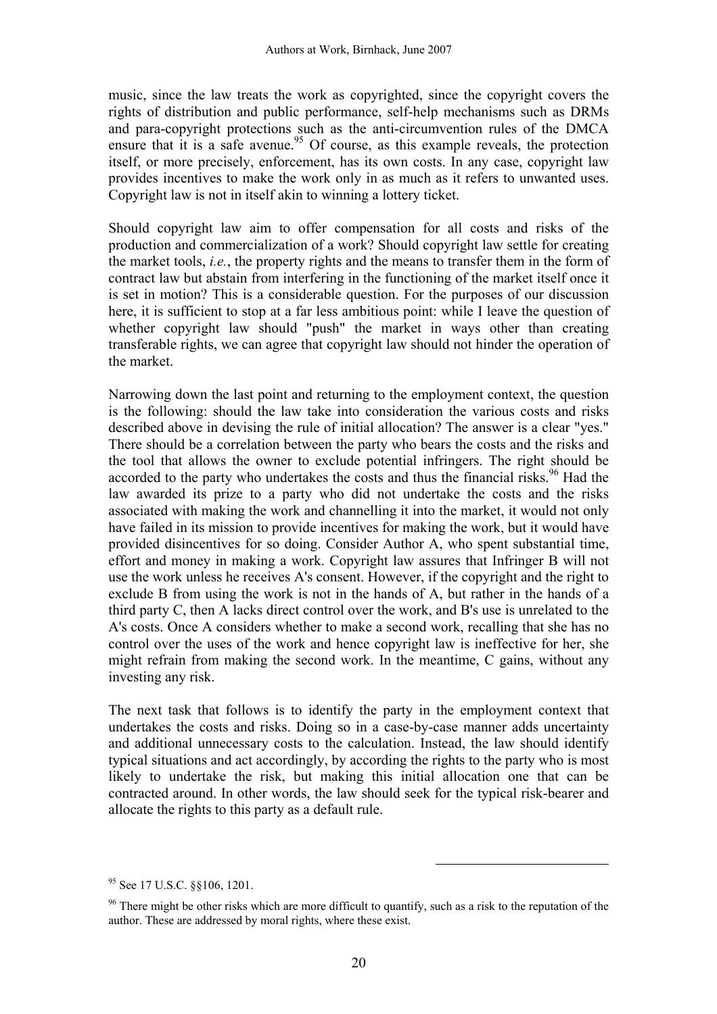music, since the law treats the work as copyrighted, since the copyright covers the rights of distribution and public performance, self-help mechanisms such as DRMs and para-copyright protections such as the anti-circumvention rules of the DMCA ensure that it is a safe avenue.<sup>95</sup> Of course, as this example reveals, the protection itself, or more precisely, enforcement, has its own costs. In any case, copyright law provides incentives to make the work only in as much as it refers to unwanted uses. Copyright law is not in itself akin to winning a lottery ticket.

Should copyright law aim to offer compensation for all costs and risks of the production and commercialization of a work? Should copyright law settle for creating the market tools, *i.e.*, the property rights and the means to transfer them in the form of contract law but abstain from interfering in the functioning of the market itself once it is set in motion? This is a considerable question. For the purposes of our discussion here, it is sufficient to stop at a far less ambitious point: while I leave the question of whether copyright law should "push" the market in ways other than creating transferable rights, we can agree that copyright law should not hinder the operation of the market.

Narrowing down the last point and returning to the employment context, the question is the following: should the law take into consideration the various costs and risks described above in devising the rule of initial allocation? The answer is a clear "yes." There should be a correlation between the party who bears the costs and the risks and the tool that allows the owner to exclude potential infringers. The right should be accorded to the party who undertakes the costs and thus the financial risks.<sup>96</sup> Had the law awarded its prize to a party who did not undertake the costs and the risks associated with making the work and channelling it into the market, it would not only have failed in its mission to provide incentives for making the work, but it would have provided disincentives for so doing. Consider Author A, who spent substantial time, effort and money in making a work. Copyright law assures that Infringer B will not use the work unless he receives A's consent. However, if the copyright and the right to exclude B from using the work is not in the hands of A, but rather in the hands of a third party C, then A lacks direct control over the work, and B's use is unrelated to the A's costs. Once A considers whether to make a second work, recalling that she has no control over the uses of the work and hence copyright law is ineffective for her, she might refrain from making the second work. In the meantime, C gains, without any investing any risk.

The next task that follows is to identify the party in the employment context that undertakes the costs and risks. Doing so in a case-by-case manner adds uncertainty and additional unnecessary costs to the calculation. Instead, the law should identify typical situations and act accordingly, by according the rights to the party who is most likely to undertake the risk, but making this initial allocation one that can be contracted around. In other words, the law should seek for the typical risk-bearer and allocate the rights to this party as a default rule.

<sup>95</sup> See 17 U.S.C. §§106, 1201.

<sup>&</sup>lt;sup>96</sup> There might be other risks which are more difficult to quantify, such as a risk to the reputation of the author. These are addressed by moral rights, where these exist.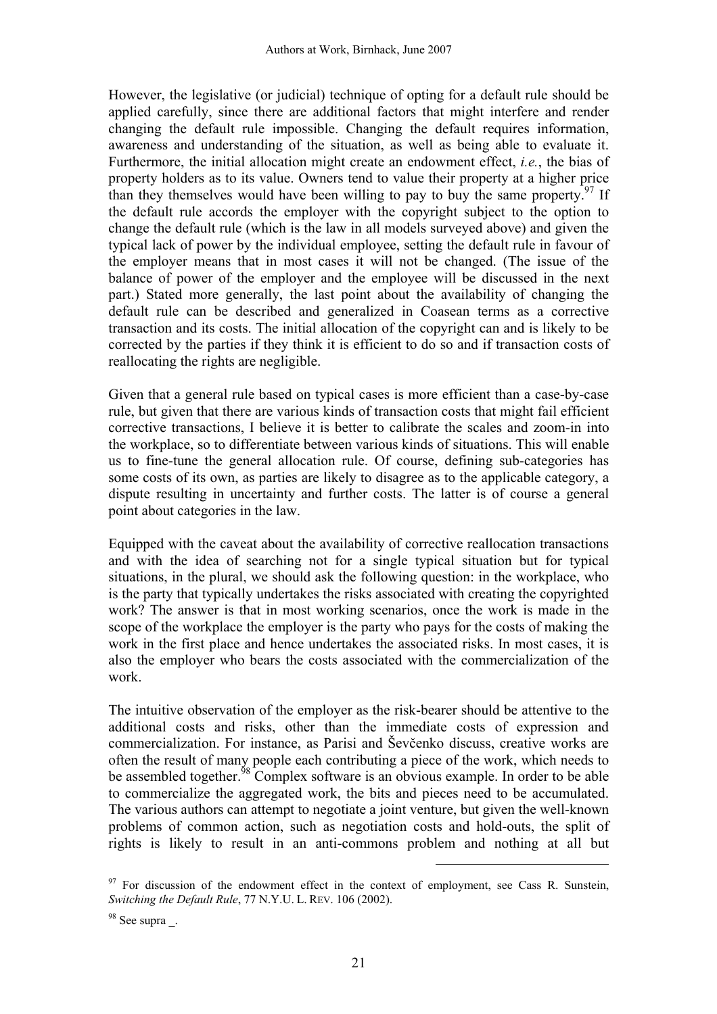However, the legislative (or judicial) technique of opting for a default rule should be applied carefully, since there are additional factors that might interfere and render changing the default rule impossible. Changing the default requires information, awareness and understanding of the situation, as well as being able to evaluate it. Furthermore, the initial allocation might create an endowment effect, *i.e.*, the bias of property holders as to its value. Owners tend to value their property at a higher price than they themselves would have been willing to pay to buy the same property. <sup>97</sup> If the default rule accords the employer with the copyright subject to the option to change the default rule (which is the law in all models surveyed above) and given the typical lack of power by the individual employee, setting the default rule in favour of the employer means that in most cases it will not be changed. (The issue of the balance of power of the employer and the employee will be discussed in the next part.) Stated more generally, the last point about the availability of changing the default rule can be described and generalized in Coasean terms as a corrective transaction and its costs. The initial allocation of the copyright can and is likely to be corrected by the parties if they think it is efficient to do so and if transaction costs of reallocating the rights are negligible.

Given that a general rule based on typical cases is more efficient than a case-by-case rule, but given that there are various kinds of transaction costs that might fail efficient corrective transactions, I believe it is better to calibrate the scales and zoom-in into the workplace, so to differentiate between various kinds of situations. This will enable us to fine-tune the general allocation rule. Of course, defining sub-categories has some costs of its own, as parties are likely to disagree as to the applicable category, a dispute resulting in uncertainty and further costs. The latter is of course a general point about categories in the law.

Equipped with the caveat about the availability of corrective reallocation transactions and with the idea of searching not for a single typical situation but for typical situations, in the plural, we should ask the following question: in the workplace, who is the party that typically undertakes the risks associated with creating the copyrighted work? The answer is that in most working scenarios, once the work is made in the scope of the workplace the employer is the party who pays for the costs of making the work in the first place and hence undertakes the associated risks. In most cases, it is also the employer who bears the costs associated with the commercialization of the work.

The intuitive observation of the employer as the risk-bearer should be attentive to the additional costs and risks, other than the immediate costs of expression and commercialization. For instance, as Parisi and Ševčenko discuss, creative works are often the result of many people each contributing a piece of the work, which needs to be assembled together.<sup>98</sup> Complex software is an obvious example. In order to be able to commercialize the aggregated work, the bits and pieces need to be accumulated. The various authors can attempt to negotiate a joint venture, but given the well-known problems of common action, such as negotiation costs and hold-outs, the split of rights is likely to result in an anti-commons problem and nothing at all but

 $97$  For discussion of the endowment effect in the context of employment, see Cass R. Sunstein, *Switching the Default Rule*, 77 N.Y.U. L. REV. 106 (2002).

<sup>&</sup>lt;sup>98</sup> See supra.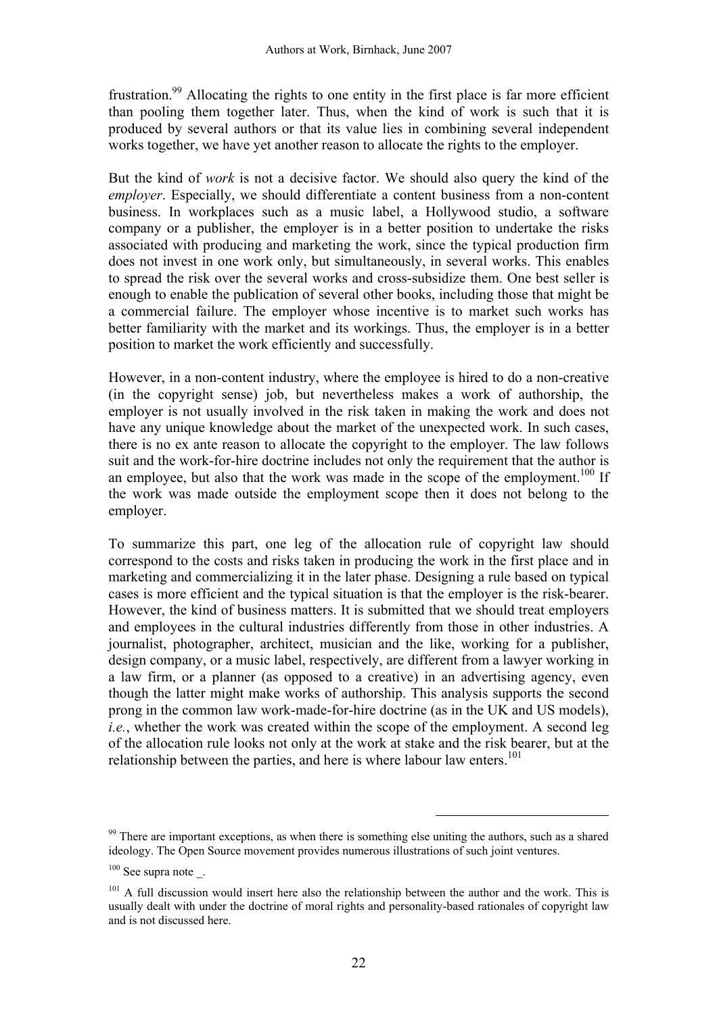frustration.<sup>99</sup> Allocating the rights to one entity in the first place is far more efficient than pooling them together later. Thus, when the kind of work is such that it is produced by several authors or that its value lies in combining several independent works together, we have yet another reason to allocate the rights to the employer.

But the kind of *work* is not a decisive factor. We should also query the kind of the *employer*. Especially, we should differentiate a content business from a non-content business. In workplaces such as a music label, a Hollywood studio, a software company or a publisher, the employer is in a better position to undertake the risks associated with producing and marketing the work, since the typical production firm does not invest in one work only, but simultaneously, in several works. This enables to spread the risk over the several works and cross-subsidize them. One best seller is enough to enable the publication of several other books, including those that might be a commercial failure. The employer whose incentive is to market such works has better familiarity with the market and its workings. Thus, the employer is in a better position to market the work efficiently and successfully.

However, in a non-content industry, where the employee is hired to do a non-creative (in the copyright sense) job, but nevertheless makes a work of authorship, the employer is not usually involved in the risk taken in making the work and does not have any unique knowledge about the market of the unexpected work. In such cases, there is no ex ante reason to allocate the copyright to the employer. The law follows suit and the work-for-hire doctrine includes not only the requirement that the author is an employee, but also that the work was made in the scope of the employment.<sup>100</sup> If the work was made outside the employment scope then it does not belong to the employer.

To summarize this part, one leg of the allocation rule of copyright law should correspond to the costs and risks taken in producing the work in the first place and in marketing and commercializing it in the later phase. Designing a rule based on typical cases is more efficient and the typical situation is that the employer is the risk-bearer. However, the kind of business matters. It is submitted that we should treat employers and employees in the cultural industries differently from those in other industries. A journalist, photographer, architect, musician and the like, working for a publisher, design company, or a music label, respectively, are different from a lawyer working in a law firm, or a planner (as opposed to a creative) in an advertising agency, even though the latter might make works of authorship. This analysis supports the second prong in the common law work-made-for-hire doctrine (as in the UK and US models), *i.e.*, whether the work was created within the scope of the employment. A second leg of the allocation rule looks not only at the work at stake and the risk bearer, but at the relationship between the parties, and here is where labour law enters.<sup>101</sup>

<sup>&</sup>lt;sup>99</sup> There are important exceptions, as when there is something else uniting the authors, such as a shared ideology. The Open Source movement provides numerous illustrations of such joint ventures.

 $100$  See supra note \_.

 $101$  A full discussion would insert here also the relationship between the author and the work. This is usually dealt with under the doctrine of moral rights and personality-based rationales of copyright law and is not discussed here.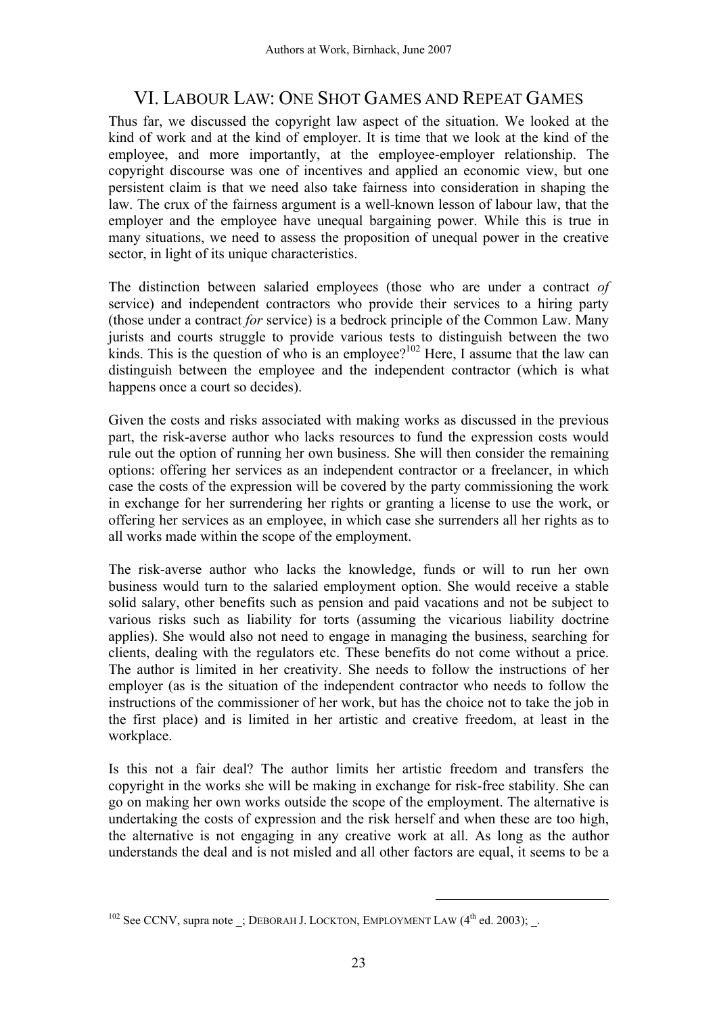# VI. LABOUR LAW: ONE SHOT GAMES AND REPEAT GAMES

Thus far, we discussed the copyright law aspect of the situation. We looked at the kind of work and at the kind of employer. It is time that we look at the kind of the employee, and more importantly, at the employee-employer relationship. The copyright discourse was one of incentives and applied an economic view, but one persistent claim is that we need also take fairness into consideration in shaping the law. The crux of the fairness argument is a well-known lesson of labour law, that the employer and the employee have unequal bargaining power. While this is true in many situations, we need to assess the proposition of unequal power in the creative sector, in light of its unique characteristics.

The distinction between salaried employees (those who are under a contract *of* service) and independent contractors who provide their services to a hiring party (those under a contract *for* service) is a bedrock principle of the Common Law. Many jurists and courts struggle to provide various tests to distinguish between the two kinds. This is the question of who is an employee?<sup>102</sup> Here, I assume that the law can distinguish between the employee and the independent contractor (which is what happens once a court so decides).

Given the costs and risks associated with making works as discussed in the previous part, the risk-averse author who lacks resources to fund the expression costs would rule out the option of running her own business. She will then consider the remaining options: offering her services as an independent contractor or a freelancer, in which case the costs of the expression will be covered by the party commissioning the work in exchange for her surrendering her rights or granting a license to use the work, or offering her services as an employee, in which case she surrenders all her rights as to all works made within the scope of the employment.

The risk-averse author who lacks the knowledge, funds or will to run her own business would turn to the salaried employment option. She would receive a stable solid salary, other benefits such as pension and paid vacations and not be subject to various risks such as liability for torts (assuming the vicarious liability doctrine applies). She would also not need to engage in managing the business, searching for clients, dealing with the regulators etc. These benefits do not come without a price. The author is limited in her creativity. She needs to follow the instructions of her employer (as is the situation of the independent contractor who needs to follow the instructions of the commissioner of her work, but has the choice not to take the job in the first place) and is limited in her artistic and creative freedom, at least in the workplace.

Is this not a fair deal? The author limits her artistic freedom and transfers the copyright in the works she will be making in exchange for risk-free stability. She can go on making her own works outside the scope of the employment. The alternative is undertaking the costs of expression and the risk herself and when these are too high, the alternative is not engaging in any creative work at all. As long as the author understands the deal and is not misled and all other factors are equal, it seems to be a

 $102$  See CCNV, supra note ; DEBORAH J. LOCKTON, EMPLOYMENT LAW  $(4<sup>th</sup>$  ed. 2003); .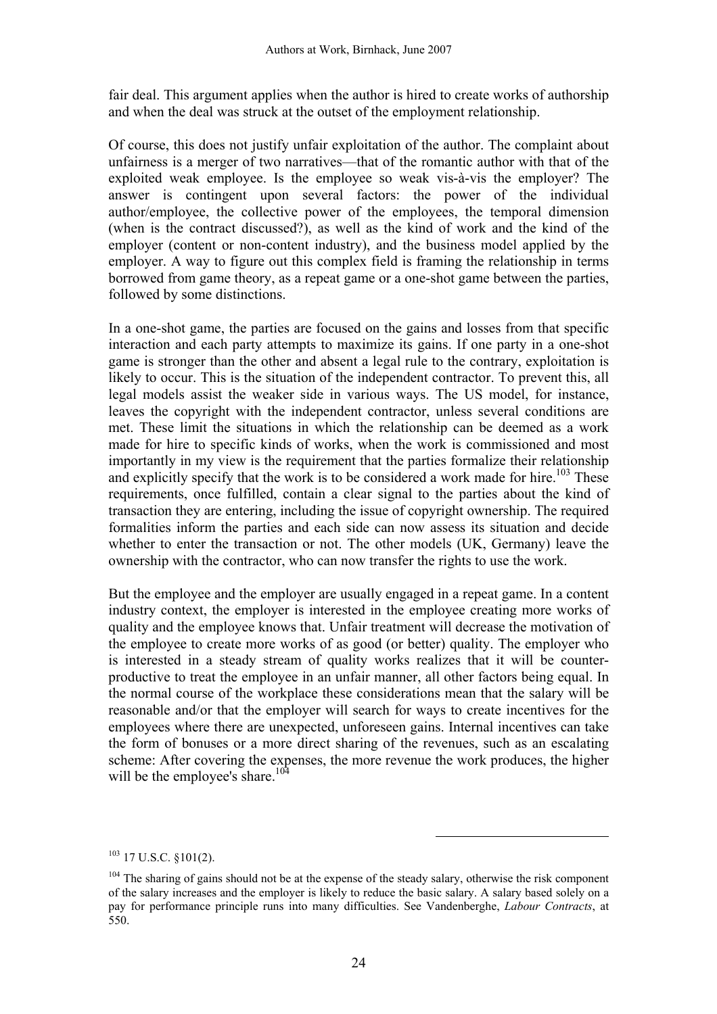fair deal. This argument applies when the author is hired to create works of authorship and when the deal was struck at the outset of the employment relationship.

Of course, this does not justify unfair exploitation of the author. The complaint about unfairness is a merger of two narratives—that of the romantic author with that of the exploited weak employee. Is the employee so weak vis-à-vis the employer? The answer is contingent upon several factors: the power of the individual author/employee, the collective power of the employees, the temporal dimension (when is the contract discussed?), as well as the kind of work and the kind of the employer (content or non-content industry), and the business model applied by the employer. A way to figure out this complex field is framing the relationship in terms borrowed from game theory, as a repeat game or a one-shot game between the parties, followed by some distinctions.

In a one-shot game, the parties are focused on the gains and losses from that specific interaction and each party attempts to maximize its gains. If one party in a one-shot game is stronger than the other and absent a legal rule to the contrary, exploitation is likely to occur. This is the situation of the independent contractor. To prevent this, all legal models assist the weaker side in various ways. The US model, for instance, leaves the copyright with the independent contractor, unless several conditions are met. These limit the situations in which the relationship can be deemed as a work made for hire to specific kinds of works, when the work is commissioned and most importantly in my view is the requirement that the parties formalize their relationship and explicitly specify that the work is to be considered a work made for hire.<sup>103</sup> These requirements, once fulfilled, contain a clear signal to the parties about the kind of transaction they are entering, including the issue of copyright ownership. The required formalities inform the parties and each side can now assess its situation and decide whether to enter the transaction or not. The other models (UK, Germany) leave the ownership with the contractor, who can now transfer the rights to use the work.

But the employee and the employer are usually engaged in a repeat game. In a content industry context, the employer is interested in the employee creating more works of quality and the employee knows that. Unfair treatment will decrease the motivation of the employee to create more works of as good (or better) quality. The employer who is interested in a steady stream of quality works realizes that it will be counterproductive to treat the employee in an unfair manner, all other factors being equal. In the normal course of the workplace these considerations mean that the salary will be reasonable and/or that the employer will search for ways to create incentives for the employees where there are unexpected, unforeseen gains. Internal incentives can take the form of bonuses or a more direct sharing of the revenues, such as an escalating scheme: After covering the expenses, the more revenue the work produces, the higher will be the employee's share.<sup>104</sup>

 $103$  17 U.S.C.  $$101(2)$ .

<sup>&</sup>lt;sup>104</sup> The sharing of gains should not be at the expense of the steady salary, otherwise the risk component of the salary increases and the employer is likely to reduce the basic salary. A salary based solely on a pay for performance principle runs into many difficulties. See Vandenberghe, *Labour Contracts*, at 550.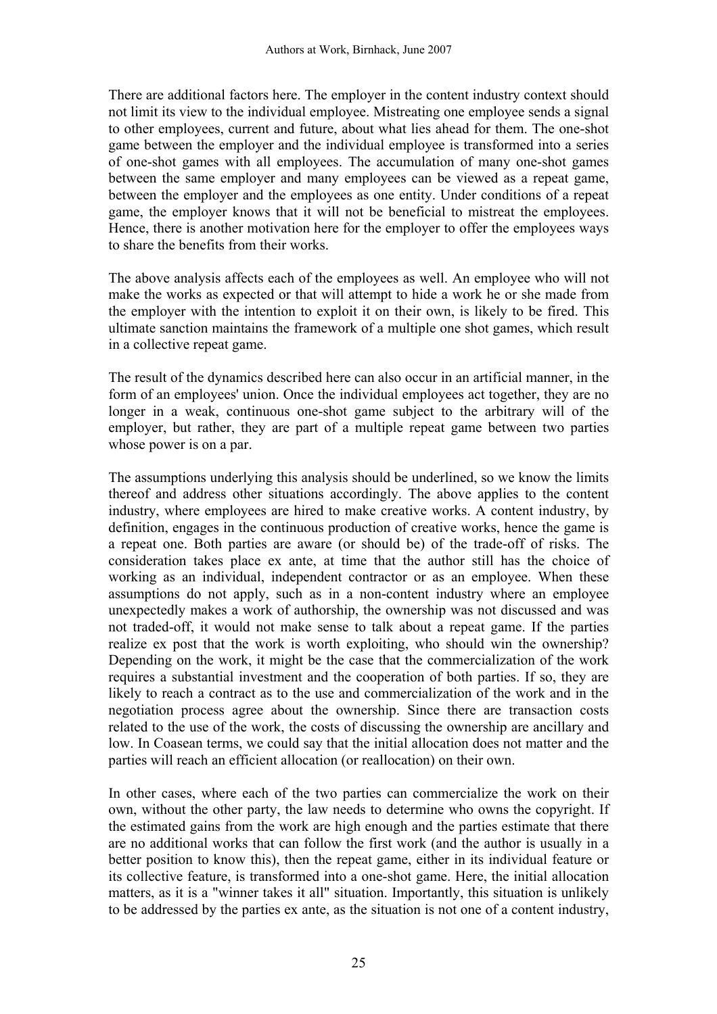There are additional factors here. The employer in the content industry context should not limit its view to the individual employee. Mistreating one employee sends a signal to other employees, current and future, about what lies ahead for them. The one-shot game between the employer and the individual employee is transformed into a series of one-shot games with all employees. The accumulation of many one-shot games between the same employer and many employees can be viewed as a repeat game, between the employer and the employees as one entity. Under conditions of a repeat game, the employer knows that it will not be beneficial to mistreat the employees. Hence, there is another motivation here for the employer to offer the employees ways to share the benefits from their works.

The above analysis affects each of the employees as well. An employee who will not make the works as expected or that will attempt to hide a work he or she made from the employer with the intention to exploit it on their own, is likely to be fired. This ultimate sanction maintains the framework of a multiple one shot games, which result in a collective repeat game.

The result of the dynamics described here can also occur in an artificial manner, in the form of an employees' union. Once the individual employees act together, they are no longer in a weak, continuous one-shot game subject to the arbitrary will of the employer, but rather, they are part of a multiple repeat game between two parties whose power is on a par.

The assumptions underlying this analysis should be underlined, so we know the limits thereof and address other situations accordingly. The above applies to the content industry, where employees are hired to make creative works. A content industry, by definition, engages in the continuous production of creative works, hence the game is a repeat one. Both parties are aware (or should be) of the trade-off of risks. The consideration takes place ex ante, at time that the author still has the choice of working as an individual, independent contractor or as an employee. When these assumptions do not apply, such as in a non-content industry where an employee unexpectedly makes a work of authorship, the ownership was not discussed and was not traded-off, it would not make sense to talk about a repeat game. If the parties realize ex post that the work is worth exploiting, who should win the ownership? Depending on the work, it might be the case that the commercialization of the work requires a substantial investment and the cooperation of both parties. If so, they are likely to reach a contract as to the use and commercialization of the work and in the negotiation process agree about the ownership. Since there are transaction costs related to the use of the work, the costs of discussing the ownership are ancillary and low. In Coasean terms, we could say that the initial allocation does not matter and the parties will reach an efficient allocation (or reallocation) on their own.

In other cases, where each of the two parties can commercialize the work on their own, without the other party, the law needs to determine who owns the copyright. If the estimated gains from the work are high enough and the parties estimate that there are no additional works that can follow the first work (and the author is usually in a better position to know this), then the repeat game, either in its individual feature or its collective feature, is transformed into a one-shot game. Here, the initial allocation matters, as it is a "winner takes it all" situation. Importantly, this situation is unlikely to be addressed by the parties ex ante, as the situation is not one of a content industry,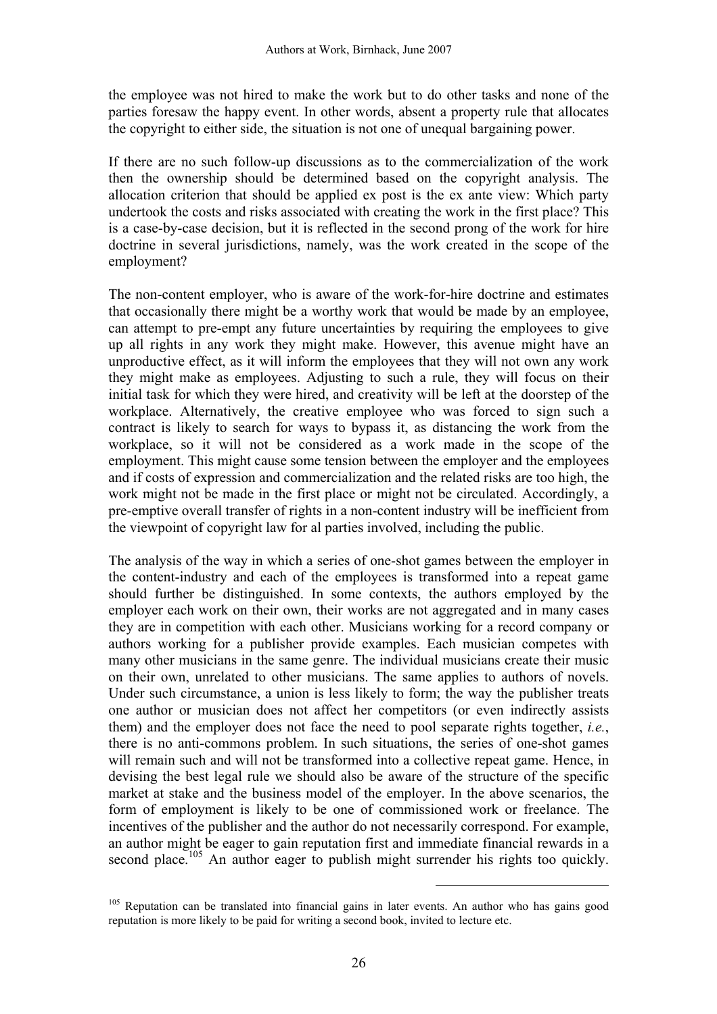the employee was not hired to make the work but to do other tasks and none of the parties foresaw the happy event. In other words, absent a property rule that allocates the copyright to either side, the situation is not one of unequal bargaining power.

If there are no such follow-up discussions as to the commercialization of the work then the ownership should be determined based on the copyright analysis. The allocation criterion that should be applied ex post is the ex ante view: Which party undertook the costs and risks associated with creating the work in the first place? This is a case-by-case decision, but it is reflected in the second prong of the work for hire doctrine in several jurisdictions, namely, was the work created in the scope of the employment?

The non-content employer, who is aware of the work-for-hire doctrine and estimates that occasionally there might be a worthy work that would be made by an employee, can attempt to pre-empt any future uncertainties by requiring the employees to give up all rights in any work they might make. However, this avenue might have an unproductive effect, as it will inform the employees that they will not own any work they might make as employees. Adjusting to such a rule, they will focus on their initial task for which they were hired, and creativity will be left at the doorstep of the workplace. Alternatively, the creative employee who was forced to sign such a contract is likely to search for ways to bypass it, as distancing the work from the workplace, so it will not be considered as a work made in the scope of the employment. This might cause some tension between the employer and the employees and if costs of expression and commercialization and the related risks are too high, the work might not be made in the first place or might not be circulated. Accordingly, a pre-emptive overall transfer of rights in a non-content industry will be inefficient from the viewpoint of copyright law for al parties involved, including the public.

The analysis of the way in which a series of one-shot games between the employer in the content-industry and each of the employees is transformed into a repeat game should further be distinguished. In some contexts, the authors employed by the employer each work on their own, their works are not aggregated and in many cases they are in competition with each other. Musicians working for a record company or authors working for a publisher provide examples. Each musician competes with many other musicians in the same genre. The individual musicians create their music on their own, unrelated to other musicians. The same applies to authors of novels. Under such circumstance, a union is less likely to form; the way the publisher treats one author or musician does not affect her competitors (or even indirectly assists them) and the employer does not face the need to pool separate rights together, *i.e.*, there is no anti-commons problem. In such situations, the series of one-shot games will remain such and will not be transformed into a collective repeat game. Hence, in devising the best legal rule we should also be aware of the structure of the specific market at stake and the business model of the employer. In the above scenarios, the form of employment is likely to be one of commissioned work or freelance. The incentives of the publisher and the author do not necessarily correspond. For example, an author might be eager to gain reputation first and immediate financial rewards in a second place.<sup>105</sup> An author eager to publish might surrender his rights too quickly.

<sup>&</sup>lt;sup>105</sup> Reputation can be translated into financial gains in later events. An author who has gains good reputation is more likely to be paid for writing a second book, invited to lecture etc.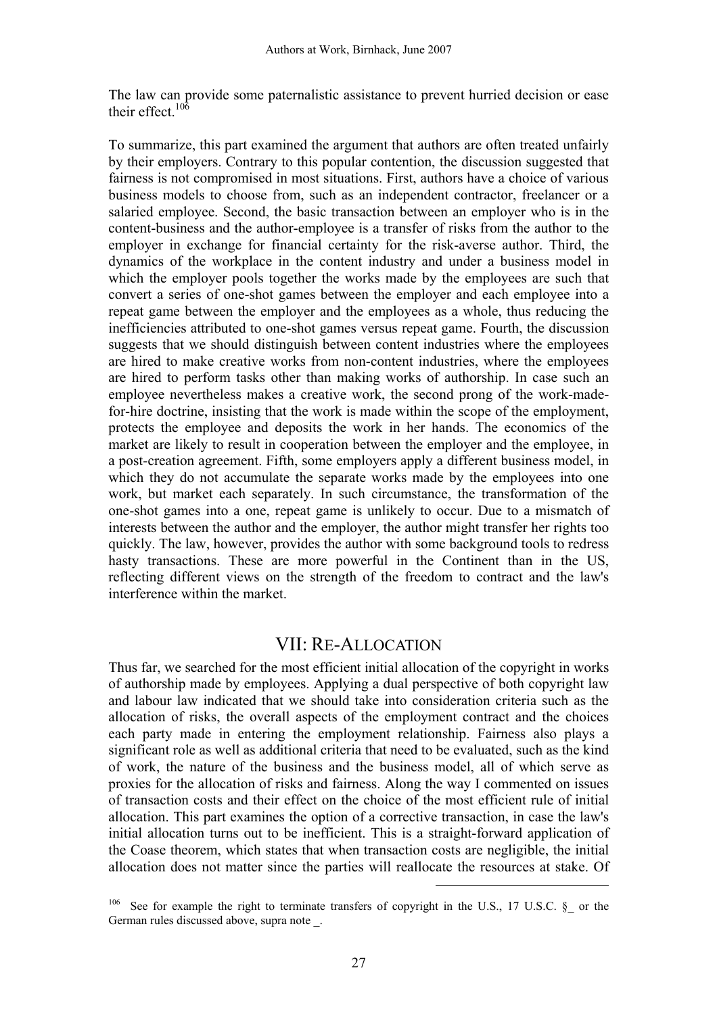The law can provide some paternalistic assistance to prevent hurried decision or ease their effect. $10<sup>6</sup>$ 

To summarize, this part examined the argument that authors are often treated unfairly by their employers. Contrary to this popular contention, the discussion suggested that fairness is not compromised in most situations. First, authors have a choice of various business models to choose from, such as an independent contractor, freelancer or a salaried employee. Second, the basic transaction between an employer who is in the content-business and the author-employee is a transfer of risks from the author to the employer in exchange for financial certainty for the risk-averse author. Third, the dynamics of the workplace in the content industry and under a business model in which the employer pools together the works made by the employees are such that convert a series of one-shot games between the employer and each employee into a repeat game between the employer and the employees as a whole, thus reducing the inefficiencies attributed to one-shot games versus repeat game. Fourth, the discussion suggests that we should distinguish between content industries where the employees are hired to make creative works from non-content industries, where the employees are hired to perform tasks other than making works of authorship. In case such an employee nevertheless makes a creative work, the second prong of the work-madefor-hire doctrine, insisting that the work is made within the scope of the employment, protects the employee and deposits the work in her hands. The economics of the market are likely to result in cooperation between the employer and the employee, in a post-creation agreement. Fifth, some employers apply a different business model, in which they do not accumulate the separate works made by the employees into one work, but market each separately. In such circumstance, the transformation of the one-shot games into a one, repeat game is unlikely to occur. Due to a mismatch of interests between the author and the employer, the author might transfer her rights too quickly. The law, however, provides the author with some background tools to redress hasty transactions. These are more powerful in the Continent than in the US, reflecting different views on the strength of the freedom to contract and the law's interference within the market.

#### VII: RE-ALLOCATION

Thus far, we searched for the most efficient initial allocation of the copyright in works of authorship made by employees. Applying a dual perspective of both copyright law and labour law indicated that we should take into consideration criteria such as the allocation of risks, the overall aspects of the employment contract and the choices each party made in entering the employment relationship. Fairness also plays a significant role as well as additional criteria that need to be evaluated, such as the kind of work, the nature of the business and the business model, all of which serve as proxies for the allocation of risks and fairness. Along the way I commented on issues of transaction costs and their effect on the choice of the most efficient rule of initial allocation. This part examines the option of a corrective transaction, in case the law's initial allocation turns out to be inefficient. This is a straight-forward application of the Coase theorem, which states that when transaction costs are negligible, the initial allocation does not matter since the parties will reallocate the resources at stake. Of

<sup>&</sup>lt;sup>106</sup> See for example the right to terminate transfers of copyright in the U.S., 17 U.S.C. §\_ or the German rules discussed above, supra note \_.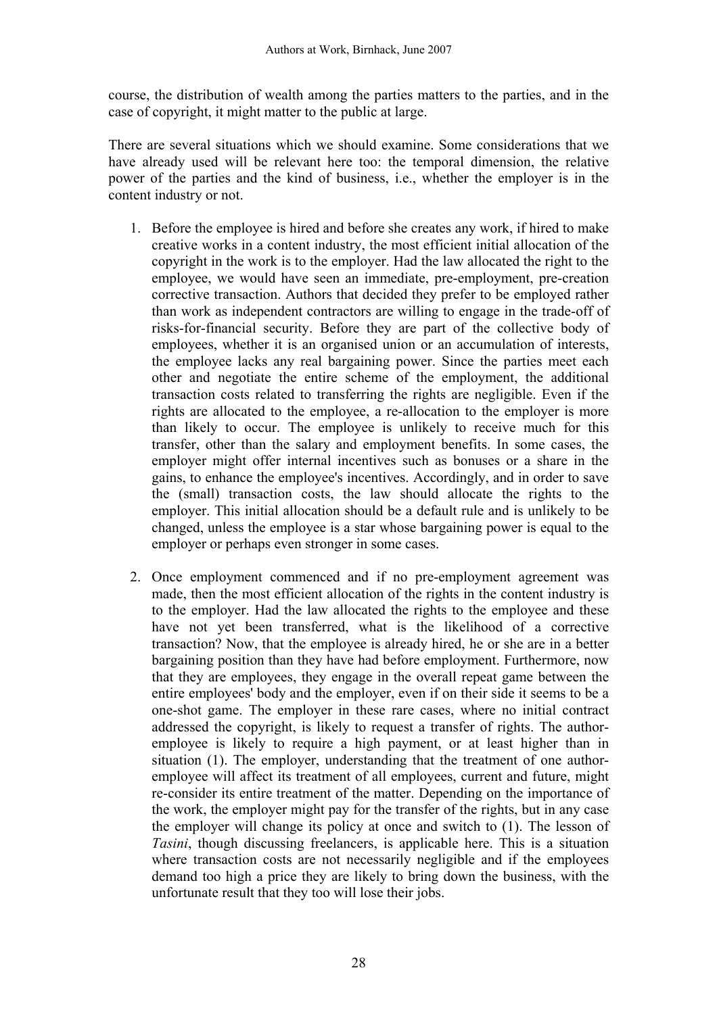course, the distribution of wealth among the parties matters to the parties, and in the case of copyright, it might matter to the public at large.

There are several situations which we should examine. Some considerations that we have already used will be relevant here too: the temporal dimension, the relative power of the parties and the kind of business, i.e., whether the employer is in the content industry or not.

- 1. Before the employee is hired and before she creates any work, if hired to make creative works in a content industry, the most efficient initial allocation of the copyright in the work is to the employer. Had the law allocated the right to the employee, we would have seen an immediate, pre-employment, pre-creation corrective transaction. Authors that decided they prefer to be employed rather than work as independent contractors are willing to engage in the trade-off of risks-for-financial security. Before they are part of the collective body of employees, whether it is an organised union or an accumulation of interests, the employee lacks any real bargaining power. Since the parties meet each other and negotiate the entire scheme of the employment, the additional transaction costs related to transferring the rights are negligible. Even if the rights are allocated to the employee, a re-allocation to the employer is more than likely to occur. The employee is unlikely to receive much for this transfer, other than the salary and employment benefits. In some cases, the employer might offer internal incentives such as bonuses or a share in the gains, to enhance the employee's incentives. Accordingly, and in order to save the (small) transaction costs, the law should allocate the rights to the employer. This initial allocation should be a default rule and is unlikely to be changed, unless the employee is a star whose bargaining power is equal to the employer or perhaps even stronger in some cases.
- 2. Once employment commenced and if no pre-employment agreement was made, then the most efficient allocation of the rights in the content industry is to the employer. Had the law allocated the rights to the employee and these have not yet been transferred, what is the likelihood of a corrective transaction? Now, that the employee is already hired, he or she are in a better bargaining position than they have had before employment. Furthermore, now that they are employees, they engage in the overall repeat game between the entire employees' body and the employer, even if on their side it seems to be a one-shot game. The employer in these rare cases, where no initial contract addressed the copyright, is likely to request a transfer of rights. The authoremployee is likely to require a high payment, or at least higher than in situation (1). The employer, understanding that the treatment of one authoremployee will affect its treatment of all employees, current and future, might re-consider its entire treatment of the matter. Depending on the importance of the work, the employer might pay for the transfer of the rights, but in any case the employer will change its policy at once and switch to (1). The lesson of *Tasini*, though discussing freelancers, is applicable here. This is a situation where transaction costs are not necessarily negligible and if the employees demand too high a price they are likely to bring down the business, with the unfortunate result that they too will lose their jobs.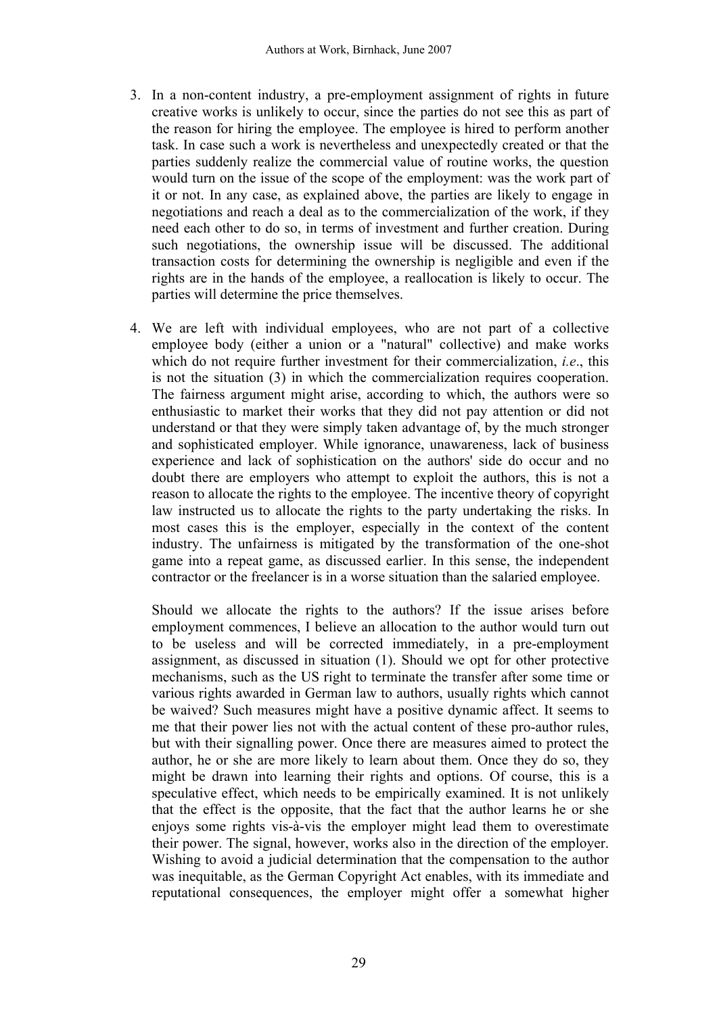- 3. In a non-content industry, a pre-employment assignment of rights in future creative works is unlikely to occur, since the parties do not see this as part of the reason for hiring the employee. The employee is hired to perform another task. In case such a work is nevertheless and unexpectedly created or that the parties suddenly realize the commercial value of routine works, the question would turn on the issue of the scope of the employment: was the work part of it or not. In any case, as explained above, the parties are likely to engage in negotiations and reach a deal as to the commercialization of the work, if they need each other to do so, in terms of investment and further creation. During such negotiations, the ownership issue will be discussed. The additional transaction costs for determining the ownership is negligible and even if the rights are in the hands of the employee, a reallocation is likely to occur. The parties will determine the price themselves.
- 4. We are left with individual employees, who are not part of a collective employee body (either a union or a "natural" collective) and make works which do not require further investment for their commercialization, *i.e*., this is not the situation (3) in which the commercialization requires cooperation. The fairness argument might arise, according to which, the authors were so enthusiastic to market their works that they did not pay attention or did not understand or that they were simply taken advantage of, by the much stronger and sophisticated employer. While ignorance, unawareness, lack of business experience and lack of sophistication on the authors' side do occur and no doubt there are employers who attempt to exploit the authors, this is not a reason to allocate the rights to the employee. The incentive theory of copyright law instructed us to allocate the rights to the party undertaking the risks. In most cases this is the employer, especially in the context of the content industry. The unfairness is mitigated by the transformation of the one-shot game into a repeat game, as discussed earlier. In this sense, the independent contractor or the freelancer is in a worse situation than the salaried employee.

Should we allocate the rights to the authors? If the issue arises before employment commences, I believe an allocation to the author would turn out to be useless and will be corrected immediately, in a pre-employment assignment, as discussed in situation (1). Should we opt for other protective mechanisms, such as the US right to terminate the transfer after some time or various rights awarded in German law to authors, usually rights which cannot be waived? Such measures might have a positive dynamic affect. It seems to me that their power lies not with the actual content of these pro-author rules, but with their signalling power. Once there are measures aimed to protect the author, he or she are more likely to learn about them. Once they do so, they might be drawn into learning their rights and options. Of course, this is a speculative effect, which needs to be empirically examined. It is not unlikely that the effect is the opposite, that the fact that the author learns he or she enjoys some rights vis-à-vis the employer might lead them to overestimate their power. The signal, however, works also in the direction of the employer. Wishing to avoid a judicial determination that the compensation to the author was inequitable, as the German Copyright Act enables, with its immediate and reputational consequences, the employer might offer a somewhat higher